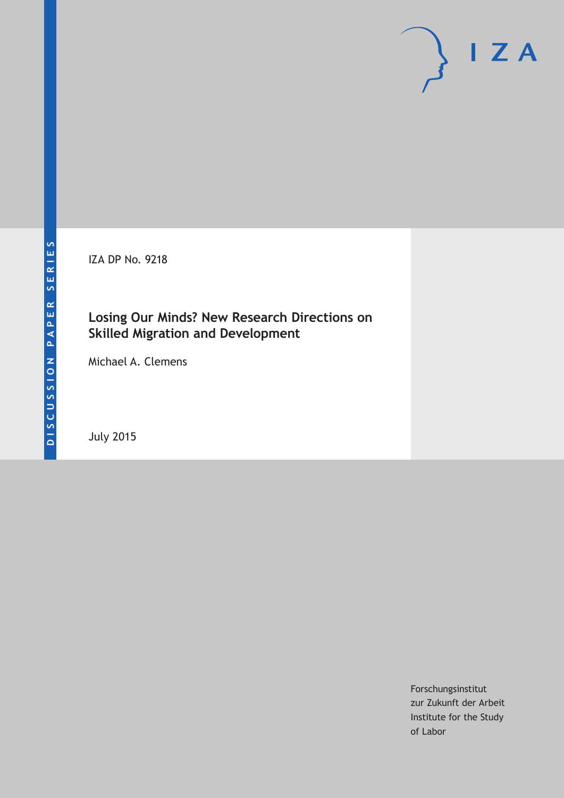IZA DP No. 9218

# **Losing Our Minds? New Research Directions on Skilled Migration and Development**

Michael A. Clemens

July 2015

Forschungsinstitut zur Zukunft der Arbeit Institute for the Study of Labor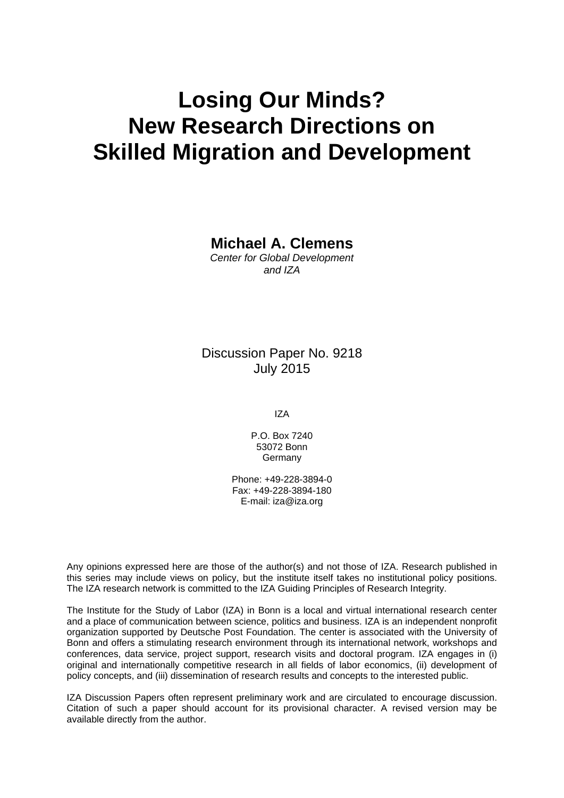# **Losing Our Minds? New Research Directions on Skilled Migration and Development**

**Michael A. Clemens** 

*Center for Global Development and IZA* 

Discussion Paper No. 9218 July 2015

IZA

P.O. Box 7240 53072 Bonn **Germany** 

Phone: +49-228-3894-0 Fax: +49-228-3894-180 E-mail: iza@iza.org

Any opinions expressed here are those of the author(s) and not those of IZA. Research published in this series may include views on policy, but the institute itself takes no institutional policy positions. The IZA research network is committed to the IZA Guiding Principles of Research Integrity.

The Institute for the Study of Labor (IZA) in Bonn is a local and virtual international research center and a place of communication between science, politics and business. IZA is an independent nonprofit organization supported by Deutsche Post Foundation. The center is associated with the University of Bonn and offers a stimulating research environment through its international network, workshops and conferences, data service, project support, research visits and doctoral program. IZA engages in (i) original and internationally competitive research in all fields of labor economics, (ii) development of policy concepts, and (iii) dissemination of research results and concepts to the interested public.

IZA Discussion Papers often represent preliminary work and are circulated to encourage discussion. Citation of such a paper should account for its provisional character. A revised version may be available directly from the author.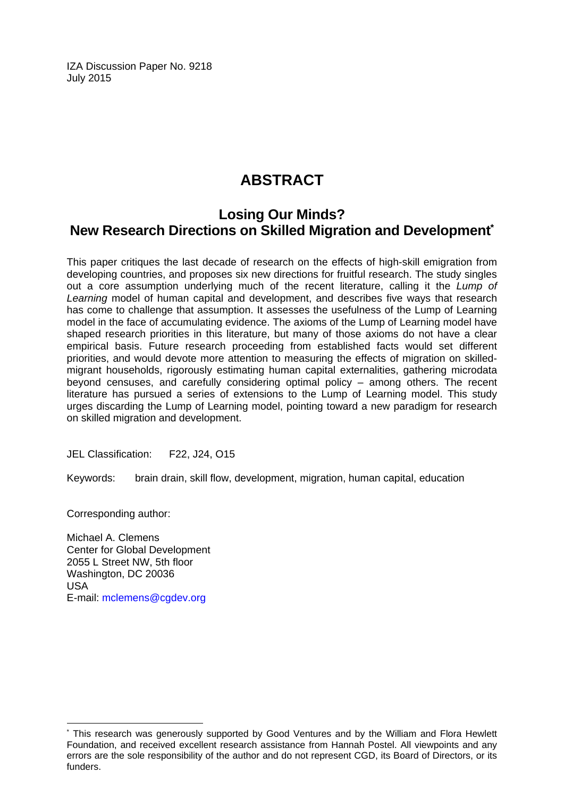IZA Discussion Paper No. 9218 July 2015

# **ABSTRACT**

# **Losing Our Minds? New Research Directions on Skilled Migration and Development\***

This paper critiques the last decade of research on the effects of high-skill emigration from developing countries, and proposes six new directions for fruitful research. The study singles out a core assumption underlying much of the recent literature, calling it the *Lump of Learning* model of human capital and development, and describes five ways that research has come to challenge that assumption. It assesses the usefulness of the Lump of Learning model in the face of accumulating evidence. The axioms of the Lump of Learning model have shaped research priorities in this literature, but many of those axioms do not have a clear empirical basis. Future research proceeding from established facts would set different priorities, and would devote more attention to measuring the effects of migration on skilledmigrant households, rigorously estimating human capital externalities, gathering microdata beyond censuses, and carefully considering optimal policy – among others. The recent literature has pursued a series of extensions to the Lump of Learning model. This study urges discarding the Lump of Learning model, pointing toward a new paradigm for research on skilled migration and development.

JEL Classification: F22, J24, O15

Keywords: brain drain, skill flow, development, migration, human capital, education

Corresponding author:

 $\overline{a}$ 

Michael A. Clemens Center for Global Development 2055 L Street NW, 5th floor Washington, DC 20036 USA E-mail: mclemens@cgdev.org

<sup>\*</sup> This research was generously supported by Good Ventures and by the William and Flora Hewlett Foundation, and received excellent research assistance from Hannah Postel. All viewpoints and any errors are the sole responsibility of the author and do not represent CGD, its Board of Directors, or its funders.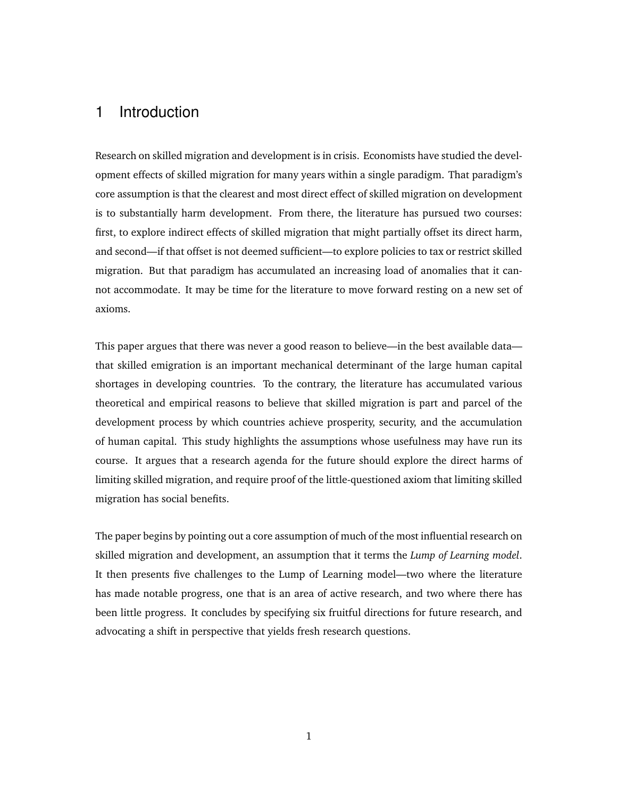## 1 Introduction

Research on skilled migration and development is in crisis. Economists have studied the development effects of skilled migration for many years within a single paradigm. That paradigm's core assumption is that the clearest and most direct effect of skilled migration on development is to substantially harm development. From there, the literature has pursued two courses: first, to explore indirect effects of skilled migration that might partially offset its direct harm, and second—if that offset is not deemed sufficient—to explore policies to tax or restrict skilled migration. But that paradigm has accumulated an increasing load of anomalies that it cannot accommodate. It may be time for the literature to move forward resting on a new set of axioms.

This paper argues that there was never a good reason to believe—in the best available data that skilled emigration is an important mechanical determinant of the large human capital shortages in developing countries. To the contrary, the literature has accumulated various theoretical and empirical reasons to believe that skilled migration is part and parcel of the development process by which countries achieve prosperity, security, and the accumulation of human capital. This study highlights the assumptions whose usefulness may have run its course. It argues that a research agenda for the future should explore the direct harms of limiting skilled migration, and require proof of the little-questioned axiom that limiting skilled migration has social benefits.

The paper begins by pointing out a core assumption of much of the most influential research on skilled migration and development, an assumption that it terms the *Lump of Learning model*. It then presents five challenges to the Lump of Learning model—two where the literature has made notable progress, one that is an area of active research, and two where there has been little progress. It concludes by specifying six fruitful directions for future research, and advocating a shift in perspective that yields fresh research questions.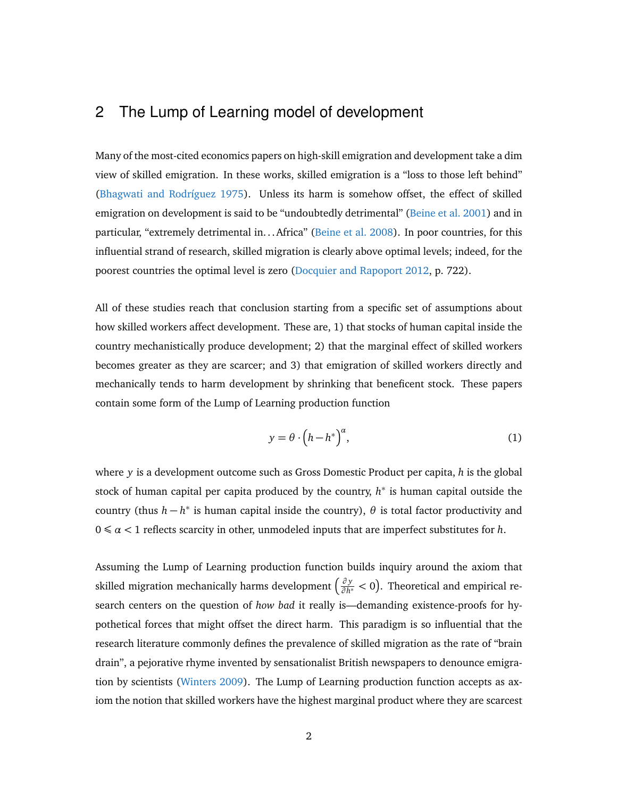# 2 The Lump of Learning model of development

Many of the most-cited economics papers on high-skill emigration and development take a dim view of skilled emigration. In these works, skilled emigration is a "loss to those left behind" [\(Bhagwati and Rodríguez](#page-26-0) [1975\)](#page-26-0). Unless its harm is somehow offset, the effect of skilled emigration on development is said to be "undoubtedly detrimental" [\(Beine et al.](#page-26-1) [2001\)](#page-26-1) and in particular, "extremely detrimental in. . . Africa" [\(Beine et al.](#page-26-2) [2008\)](#page-26-2). In poor countries, for this influential strand of research, skilled migration is clearly above optimal levels; indeed, for the poorest countries the optimal level is zero [\(Docquier and Rapoport](#page-27-0) [2012,](#page-27-0) p. 722).

All of these studies reach that conclusion starting from a specific set of assumptions about how skilled workers affect development. These are, 1) that stocks of human capital inside the country mechanistically produce development; 2) that the marginal effect of skilled workers becomes greater as they are scarcer; and 3) that emigration of skilled workers directly and mechanically tends to harm development by shrinking that beneficent stock. These papers contain some form of the Lump of Learning production function

<span id="page-4-0"></span>
$$
y = \theta \cdot \left(h - h^*\right)^{\alpha},\tag{1}
$$

where *y* is a development outcome such as Gross Domestic Product per capita, *h* is the global stock of human capital per capita produced by the country,  $h^*$  is human capital outside the country (thus  $h - h^*$  is human capital inside the country),  $\theta$  is total factor productivity and  $0 \le \alpha < 1$  reflects scarcity in other, unmodeled inputs that are imperfect substitutes for *h*.

Assuming the Lump of Learning production function builds inquiry around the axiom that skilled migration mechanically harms development  $\left(\frac{\partial y}{\partial h^*} < 0\right)$ . Theoretical and empirical research centers on the question of *how bad* it really is—demanding existence-proofs for hypothetical forces that might offset the direct harm. This paradigm is so influential that the research literature commonly defines the prevalence of skilled migration as the rate of "brain drain", a pejorative rhyme invented by sensationalist British newspapers to denounce emigration by scientists [\(Winters](#page-30-0) [2009\)](#page-30-0). The Lump of Learning production function accepts as axiom the notion that skilled workers have the highest marginal product where they are scarcest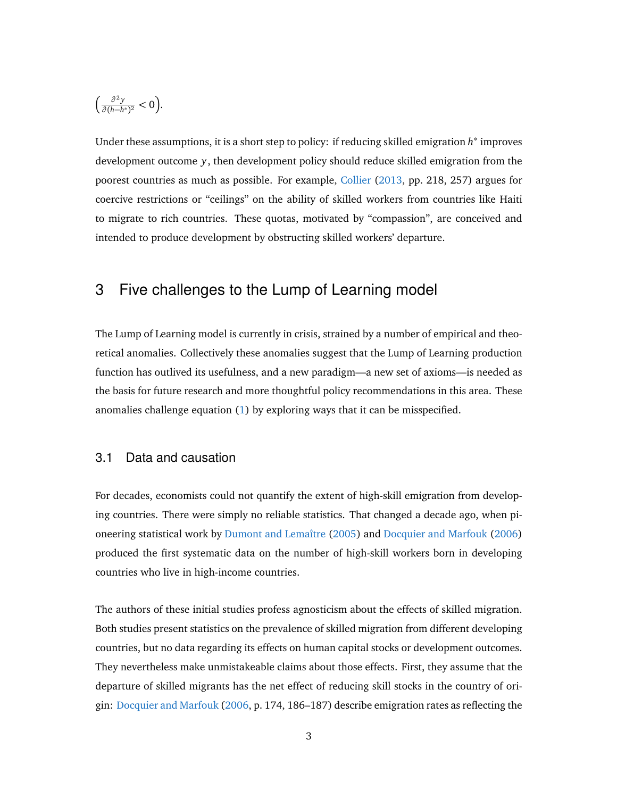$$
\Big(\tfrac{\partial^2 y}{\partial (h-h^*)^2}<0\Big).
$$

Under these assumptions, it is a short step to policy: if reducing skilled emigration *h* ∗ improves development outcome *y*, then development policy should reduce skilled emigration from the poorest countries as much as possible. For example, [Collier](#page-27-1) [\(2013,](#page-27-1) pp. 218, 257) argues for coercive restrictions or "ceilings" on the ability of skilled workers from countries like Haiti to migrate to rich countries. These quotas, motivated by "compassion", are conceived and intended to produce development by obstructing skilled workers' departure.

# 3 Five challenges to the Lump of Learning model

The Lump of Learning model is currently in crisis, strained by a number of empirical and theoretical anomalies. Collectively these anomalies suggest that the Lump of Learning production function has outlived its usefulness, and a new paradigm—a new set of axioms—is needed as the basis for future research and more thoughtful policy recommendations in this area. These anomalies challenge equation [\(1\)](#page-4-0) by exploring ways that it can be misspecified.

#### 3.1 Data and causation

For decades, economists could not quantify the extent of high-skill emigration from developing countries. There were simply no reliable statistics. That changed a decade ago, when pioneering statistical work by [Dumont and Lemaître](#page-27-2) [\(2005\)](#page-27-2) and [Docquier and Marfouk](#page-27-3) [\(2006\)](#page-27-3) produced the first systematic data on the number of high-skill workers born in developing countries who live in high-income countries.

The authors of these initial studies profess agnosticism about the effects of skilled migration. Both studies present statistics on the prevalence of skilled migration from different developing countries, but no data regarding its effects on human capital stocks or development outcomes. They nevertheless make unmistakeable claims about those effects. First, they assume that the departure of skilled migrants has the net effect of reducing skill stocks in the country of origin: [Docquier and Marfouk](#page-27-3) [\(2006,](#page-27-3) p. 174, 186–187) describe emigration rates as reflecting the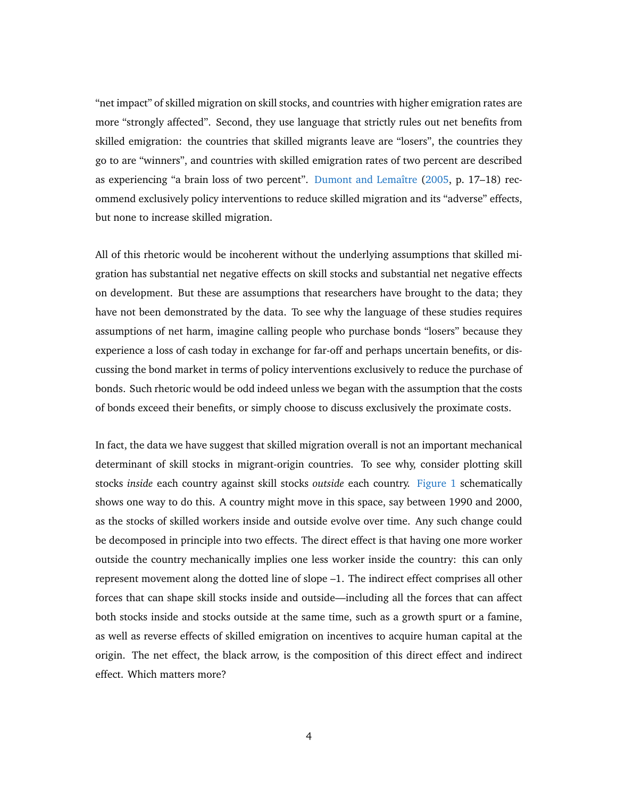"net impact" of skilled migration on skill stocks, and countries with higher emigration rates are more "strongly affected". Second, they use language that strictly rules out net benefits from skilled emigration: the countries that skilled migrants leave are "losers", the countries they go to are "winners", and countries with skilled emigration rates of two percent are described as experiencing "a brain loss of two percent". [Dumont and Lemaître](#page-27-2) [\(2005,](#page-27-2) p. 17–18) recommend exclusively policy interventions to reduce skilled migration and its "adverse" effects, but none to increase skilled migration.

All of this rhetoric would be incoherent without the underlying assumptions that skilled migration has substantial net negative effects on skill stocks and substantial net negative effects on development. But these are assumptions that researchers have brought to the data; they have not been demonstrated by the data. To see why the language of these studies requires assumptions of net harm, imagine calling people who purchase bonds "losers" because they experience a loss of cash today in exchange for far-off and perhaps uncertain benefits, or discussing the bond market in terms of policy interventions exclusively to reduce the purchase of bonds. Such rhetoric would be odd indeed unless we began with the assumption that the costs of bonds exceed their benefits, or simply choose to discuss exclusively the proximate costs.

In fact, the data we have suggest that skilled migration overall is not an important mechanical determinant of skill stocks in migrant-origin countries. To see why, consider plotting skill stocks *inside* each country against skill stocks *outside* each country. [Figure 1](#page-31-0) schematically shows one way to do this. A country might move in this space, say between 1990 and 2000, as the stocks of skilled workers inside and outside evolve over time. Any such change could be decomposed in principle into two effects. The direct effect is that having one more worker outside the country mechanically implies one less worker inside the country: this can only represent movement along the dotted line of slope –1. The indirect effect comprises all other forces that can shape skill stocks inside and outside—including all the forces that can affect both stocks inside and stocks outside at the same time, such as a growth spurt or a famine, as well as reverse effects of skilled emigration on incentives to acquire human capital at the origin. The net effect, the black arrow, is the composition of this direct effect and indirect effect. Which matters more?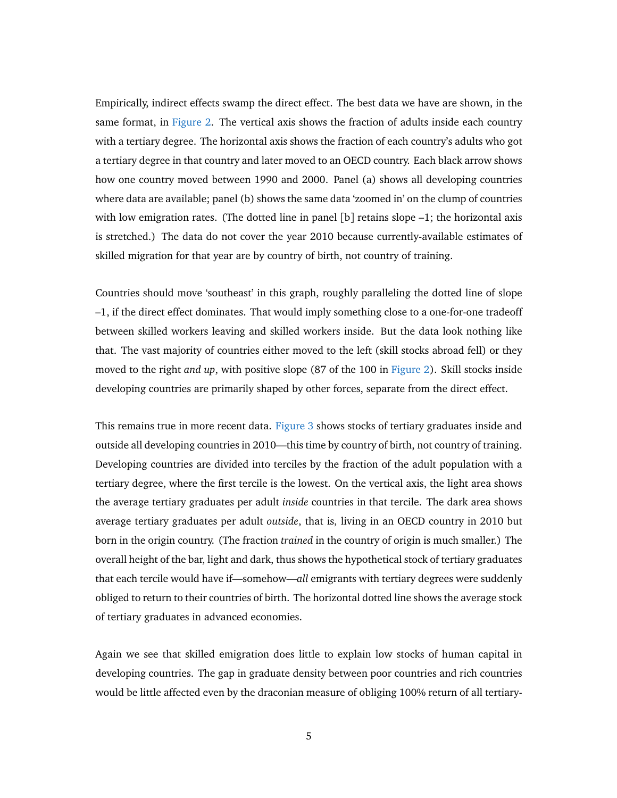Empirically, indirect effects swamp the direct effect. The best data we have are shown, in the same format, in [Figure 2.](#page-32-0) The vertical axis shows the fraction of adults inside each country with a tertiary degree. The horizontal axis shows the fraction of each country's adults who got a tertiary degree in that country and later moved to an OECD country. Each black arrow shows how one country moved between 1990 and 2000. Panel (a) shows all developing countries where data are available; panel (b) shows the same data 'zoomed in' on the clump of countries with low emigration rates. (The dotted line in panel [b] retains slope  $-1$ ; the horizontal axis is stretched.) The data do not cover the year 2010 because currently-available estimates of skilled migration for that year are by country of birth, not country of training.

Countries should move 'southeast' in this graph, roughly paralleling the dotted line of slope –1, if the direct effect dominates. That would imply something close to a one-for-one tradeoff between skilled workers leaving and skilled workers inside. But the data look nothing like that. The vast majority of countries either moved to the left (skill stocks abroad fell) or they moved to the right *and up*, with positive slope (87 of the 100 in [Figure 2\)](#page-32-0). Skill stocks inside developing countries are primarily shaped by other forces, separate from the direct effect.

This remains true in more recent data. [Figure 3](#page-33-0) shows stocks of tertiary graduates inside and outside all developing countries in 2010—this time by country of birth, not country of training. Developing countries are divided into terciles by the fraction of the adult population with a tertiary degree, where the first tercile is the lowest. On the vertical axis, the light area shows the average tertiary graduates per adult *inside* countries in that tercile. The dark area shows average tertiary graduates per adult *outside*, that is, living in an OECD country in 2010 but born in the origin country. (The fraction *trained* in the country of origin is much smaller.) The overall height of the bar, light and dark, thus shows the hypothetical stock of tertiary graduates that each tercile would have if—somehow—*all* emigrants with tertiary degrees were suddenly obliged to return to their countries of birth. The horizontal dotted line shows the average stock of tertiary graduates in advanced economies.

Again we see that skilled emigration does little to explain low stocks of human capital in developing countries. The gap in graduate density between poor countries and rich countries would be little affected even by the draconian measure of obliging 100% return of all tertiary-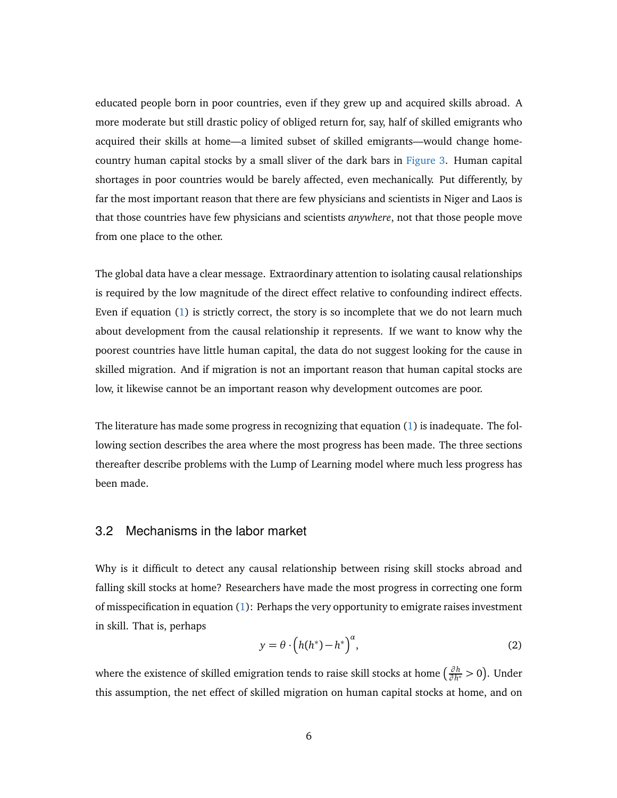educated people born in poor countries, even if they grew up and acquired skills abroad. A more moderate but still drastic policy of obliged return for, say, half of skilled emigrants who acquired their skills at home—a limited subset of skilled emigrants—would change homecountry human capital stocks by a small sliver of the dark bars in [Figure 3.](#page-33-0) Human capital shortages in poor countries would be barely affected, even mechanically. Put differently, by far the most important reason that there are few physicians and scientists in Niger and Laos is that those countries have few physicians and scientists *anywhere*, not that those people move from one place to the other.

The global data have a clear message. Extraordinary attention to isolating causal relationships is required by the low magnitude of the direct effect relative to confounding indirect effects. Even if equation [\(1\)](#page-4-0) is strictly correct, the story is so incomplete that we do not learn much about development from the causal relationship it represents. If we want to know why the poorest countries have little human capital, the data do not suggest looking for the cause in skilled migration. And if migration is not an important reason that human capital stocks are low, it likewise cannot be an important reason why development outcomes are poor.

The literature has made some progress in recognizing that equation [\(1\)](#page-4-0) is inadequate. The following section describes the area where the most progress has been made. The three sections thereafter describe problems with the Lump of Learning model where much less progress has been made.

#### <span id="page-8-0"></span>3.2 Mechanisms in the labor market

Why is it difficult to detect any causal relationship between rising skill stocks abroad and falling skill stocks at home? Researchers have made the most progress in correcting one form of misspecification in equation [\(1\)](#page-4-0): Perhaps the very opportunity to emigrate raises investment in skill. That is, perhaps *α*

$$
y = \theta \cdot \left( h(h^*) - h^* \right)^a, \tag{2}
$$

where the existence of skilled emigration tends to raise skill stocks at home  $\left(\frac{\partial h}{\partial h^*} > 0\right)$ . Under this assumption, the net effect of skilled migration on human capital stocks at home, and on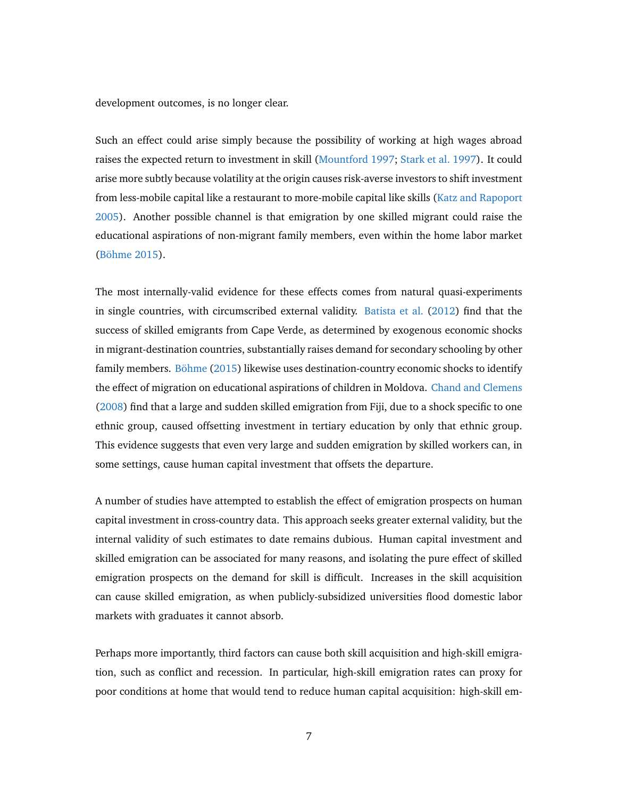development outcomes, is no longer clear.

Such an effect could arise simply because the possibility of working at high wages abroad raises the expected return to investment in skill [\(Mountford](#page-29-0) [1997;](#page-29-0) [Stark et al.](#page-29-1) [1997\)](#page-29-1). It could arise more subtly because volatility at the origin causes risk-averse investors to shift investment from less-mobile capital like a restaurant to more-mobile capital like skills [\(Katz and Rapoport](#page-28-0) [2005\)](#page-28-0). Another possible channel is that emigration by one skilled migrant could raise the educational aspirations of non-migrant family members, even within the home labor market [\(Böhme](#page-26-3) [2015\)](#page-26-3).

The most internally-valid evidence for these effects comes from natural quasi-experiments in single countries, with circumscribed external validity. [Batista et al.](#page-26-4) [\(2012\)](#page-26-4) find that the success of skilled emigrants from Cape Verde, as determined by exogenous economic shocks in migrant-destination countries, substantially raises demand for secondary schooling by other family members. [Böhme](#page-26-3) [\(2015\)](#page-26-3) likewise uses destination-country economic shocks to identify the effect of migration on educational aspirations of children in Moldova. [Chand and Clemens](#page-27-4) [\(2008\)](#page-27-4) find that a large and sudden skilled emigration from Fiji, due to a shock specific to one ethnic group, caused offsetting investment in tertiary education by only that ethnic group. This evidence suggests that even very large and sudden emigration by skilled workers can, in some settings, cause human capital investment that offsets the departure.

A number of studies have attempted to establish the effect of emigration prospects on human capital investment in cross-country data. This approach seeks greater external validity, but the internal validity of such estimates to date remains dubious. Human capital investment and skilled emigration can be associated for many reasons, and isolating the pure effect of skilled emigration prospects on the demand for skill is difficult. Increases in the skill acquisition can cause skilled emigration, as when publicly-subsidized universities flood domestic labor markets with graduates it cannot absorb.

Perhaps more importantly, third factors can cause both skill acquisition and high-skill emigration, such as conflict and recession. In particular, high-skill emigration rates can proxy for poor conditions at home that would tend to reduce human capital acquisition: high-skill em-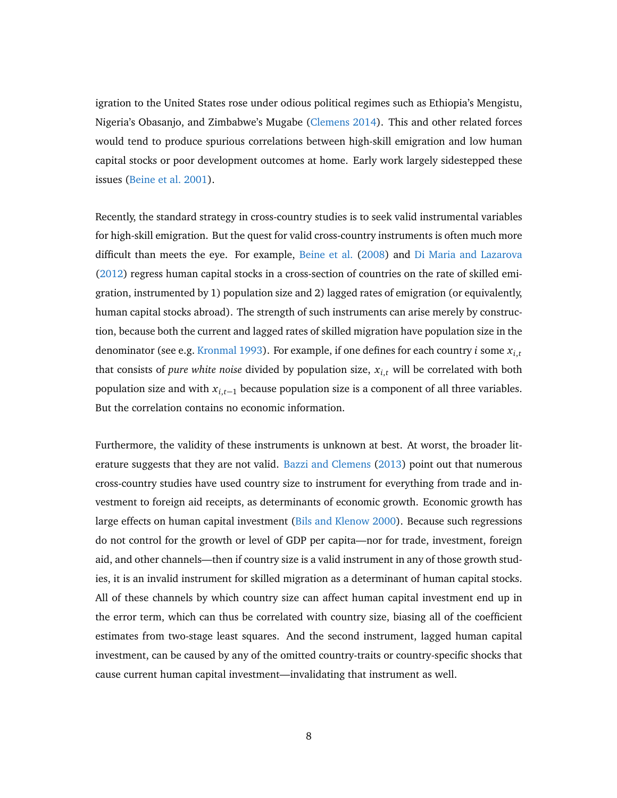igration to the United States rose under odious political regimes such as Ethiopia's Mengistu, Nigeria's Obasanjo, and Zimbabwe's Mugabe [\(Clemens](#page-27-5) [2014\)](#page-27-5). This and other related forces would tend to produce spurious correlations between high-skill emigration and low human capital stocks or poor development outcomes at home. Early work largely sidestepped these issues [\(Beine et al.](#page-26-1) [2001\)](#page-26-1).

Recently, the standard strategy in cross-country studies is to seek valid instrumental variables for high-skill emigration. But the quest for valid cross-country instruments is often much more difficult than meets the eye. For example, [Beine et al.](#page-26-2) [\(2008\)](#page-26-2) and [Di Maria and Lazarova](#page-29-2) [\(2012\)](#page-29-2) regress human capital stocks in a cross-section of countries on the rate of skilled emigration, instrumented by 1) population size and 2) lagged rates of emigration (or equivalently, human capital stocks abroad). The strength of such instruments can arise merely by construction, because both the current and lagged rates of skilled migration have population size in the denominator (see e.g. [Kronmal](#page-28-1) [1993\)](#page-28-1). For example, if one defines for each country *i* some *xi*,*<sup>t</sup>* that consists of *pure white noise* divided by population size, *xi*,*<sup>t</sup>* will be correlated with both population size and with *xi*,*t*−<sup>1</sup> because population size is a component of all three variables. But the correlation contains no economic information.

Furthermore, the validity of these instruments is unknown at best. At worst, the broader literature suggests that they are not valid. [Bazzi and Clemens](#page-26-5) [\(2013\)](#page-26-5) point out that numerous cross-country studies have used country size to instrument for everything from trade and investment to foreign aid receipts, as determinants of economic growth. Economic growth has large effects on human capital investment [\(Bils and Klenow](#page-26-6) [2000\)](#page-26-6). Because such regressions do not control for the growth or level of GDP per capita—nor for trade, investment, foreign aid, and other channels—then if country size is a valid instrument in any of those growth studies, it is an invalid instrument for skilled migration as a determinant of human capital stocks. All of these channels by which country size can affect human capital investment end up in the error term, which can thus be correlated with country size, biasing all of the coefficient estimates from two-stage least squares. And the second instrument, lagged human capital investment, can be caused by any of the omitted country-traits or country-specific shocks that cause current human capital investment—invalidating that instrument as well.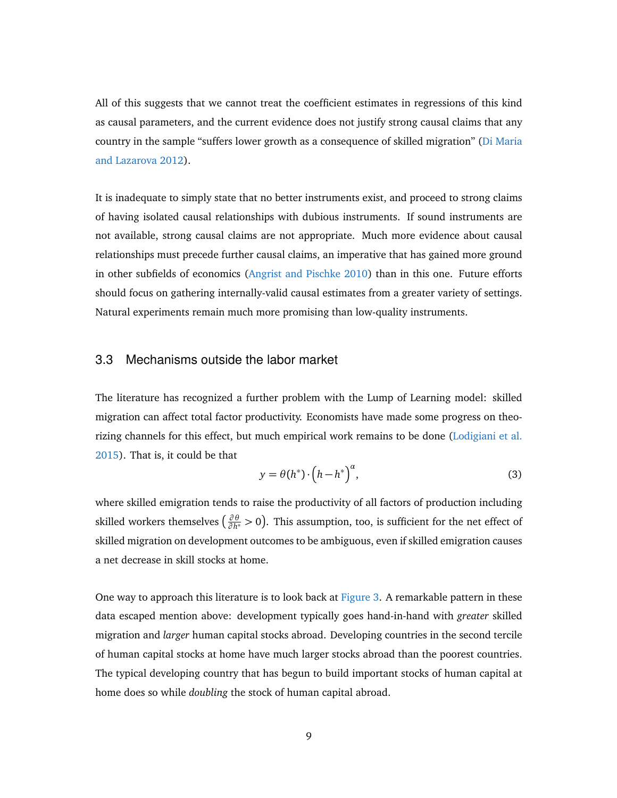All of this suggests that we cannot treat the coefficient estimates in regressions of this kind as causal parameters, and the current evidence does not justify strong causal claims that any country in the sample "suffers lower growth as a consequence of skilled migration" [\(Di Maria](#page-29-2) [and Lazarova](#page-29-2) [2012\)](#page-29-2).

It is inadequate to simply state that no better instruments exist, and proceed to strong claims of having isolated causal relationships with dubious instruments. If sound instruments are not available, strong causal claims are not appropriate. Much more evidence about causal relationships must precede further causal claims, an imperative that has gained more ground in other subfields of economics [\(Angrist and Pischke](#page-26-7) [2010\)](#page-26-7) than in this one. Future efforts should focus on gathering internally-valid causal estimates from a greater variety of settings. Natural experiments remain much more promising than low-quality instruments.

#### 3.3 Mechanisms outside the labor market

The literature has recognized a further problem with the Lump of Learning model: skilled migration can affect total factor productivity. Economists have made some progress on theorizing channels for this effect, but much empirical work remains to be done [\(Lodigiani et al.](#page-28-2) [2015\)](#page-28-2). That is, it could be that

$$
y = \theta(h^*) \cdot \left(h - h^*\right)^\alpha,\tag{3}
$$

where skilled emigration tends to raise the productivity of all factors of production including skilled workers themselves  $\left(\frac{\partial \theta}{\partial h^*} > 0\right)$ . This assumption, too, is sufficient for the net effect of skilled migration on development outcomes to be ambiguous, even if skilled emigration causes a net decrease in skill stocks at home.

One way to approach this literature is to look back at [Figure 3.](#page-33-0) A remarkable pattern in these data escaped mention above: development typically goes hand-in-hand with *greater* skilled migration and *larger* human capital stocks abroad. Developing countries in the second tercile of human capital stocks at home have much larger stocks abroad than the poorest countries. The typical developing country that has begun to build important stocks of human capital at home does so while *doubling* the stock of human capital abroad.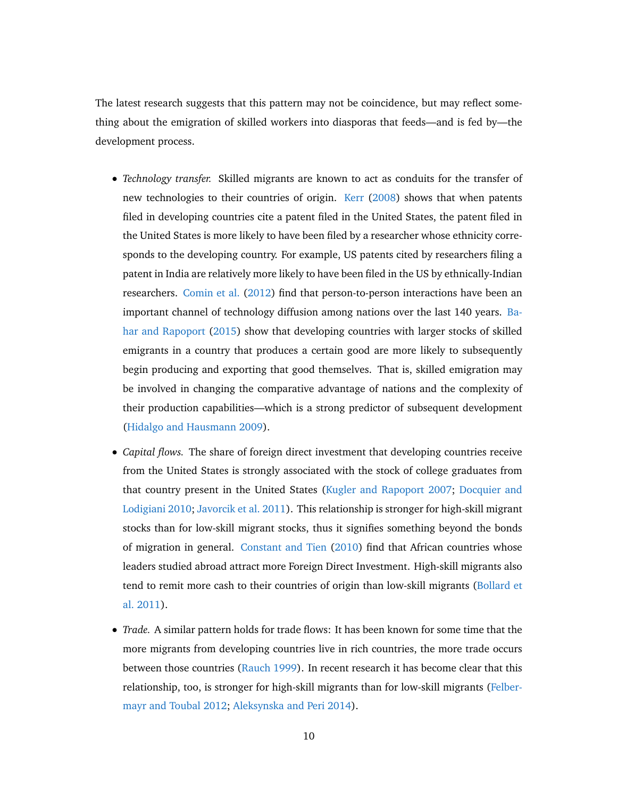The latest research suggests that this pattern may not be coincidence, but may reflect something about the emigration of skilled workers into diasporas that feeds—and is fed by—the development process.

- *Technology transfer.* Skilled migrants are known to act as conduits for the transfer of new technologies to their countries of origin. [Kerr](#page-28-3) [\(2008\)](#page-28-3) shows that when patents filed in developing countries cite a patent filed in the United States, the patent filed in the United States is more likely to have been filed by a researcher whose ethnicity corresponds to the developing country. For example, US patents cited by researchers filing a patent in India are relatively more likely to have been filed in the US by ethnically-Indian researchers. [Comin et al.](#page-27-6) [\(2012\)](#page-27-6) find that person-to-person interactions have been an important channel of technology diffusion among nations over the last 140 years. [Ba](#page-26-8)[har and Rapoport](#page-26-8) [\(2015\)](#page-26-8) show that developing countries with larger stocks of skilled emigrants in a country that produces a certain good are more likely to subsequently begin producing and exporting that good themselves. That is, skilled emigration may be involved in changing the comparative advantage of nations and the complexity of their production capabilities—which is a strong predictor of subsequent development [\(Hidalgo and Hausmann](#page-28-4) [2009\)](#page-28-4).
- *Capital flows.* The share of foreign direct investment that developing countries receive from the United States is strongly associated with the stock of college graduates from that country present in the United States [\(Kugler and Rapoport](#page-28-5) [2007;](#page-28-5) [Docquier and](#page-27-7) [Lodigiani](#page-27-7) [2010;](#page-27-7) [Javorcik et al.](#page-28-6) [2011\)](#page-28-6). This relationship is stronger for high-skill migrant stocks than for low-skill migrant stocks, thus it signifies something beyond the bonds of migration in general. [Constant and Tien](#page-27-8) [\(2010\)](#page-27-8) find that African countries whose leaders studied abroad attract more Foreign Direct Investment. High-skill migrants also tend to remit more cash to their countries of origin than low-skill migrants [\(Bollard et](#page-27-9) [al.](#page-27-9) [2011\)](#page-27-9).
- *Trade.* A similar pattern holds for trade flows: It has been known for some time that the more migrants from developing countries live in rich countries, the more trade occurs between those countries [\(Rauch](#page-29-3) [1999\)](#page-29-3). In recent research it has become clear that this relationship, too, is stronger for high-skill migrants than for low-skill migrants [\(Felber](#page-28-7)[mayr and Toubal](#page-28-7) [2012;](#page-28-7) [Aleksynska and Peri](#page-26-9) [2014\)](#page-26-9).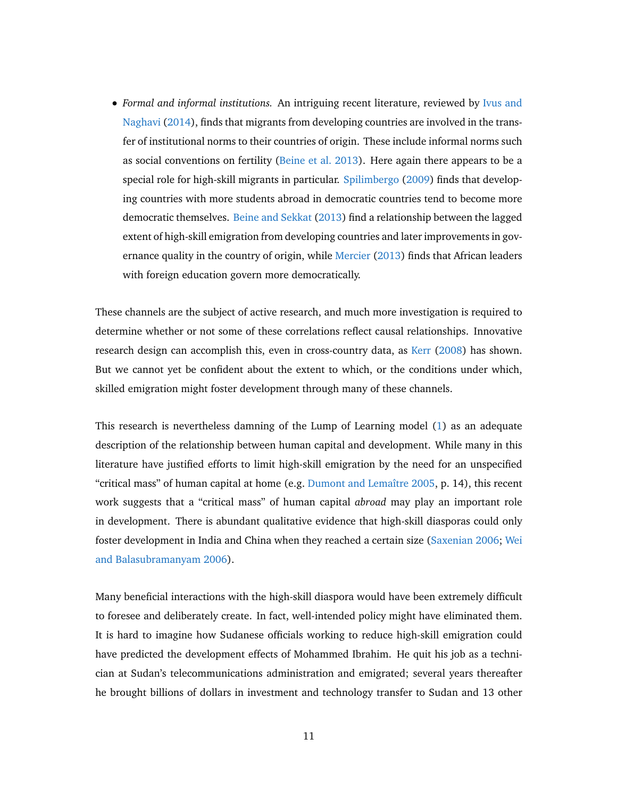• *Formal and informal institutions.* An intriguing recent literature, reviewed by [Ivus and](#page-28-8) [Naghavi](#page-28-8) [\(2014\)](#page-28-8), finds that migrants from developing countries are involved in the transfer of institutional norms to their countries of origin. These include informal norms such as social conventions on fertility [\(Beine et al.](#page-26-10) [2013\)](#page-26-10). Here again there appears to be a special role for high-skill migrants in particular. [Spilimbergo](#page-29-4) [\(2009\)](#page-29-4) finds that developing countries with more students abroad in democratic countries tend to become more democratic themselves. [Beine and Sekkat](#page-26-11) [\(2013\)](#page-26-11) find a relationship between the lagged extent of high-skill emigration from developing countries and later improvements in governance quality in the country of origin, while [Mercier](#page-29-5) [\(2013\)](#page-29-5) finds that African leaders with foreign education govern more democratically.

These channels are the subject of active research, and much more investigation is required to determine whether or not some of these correlations reflect causal relationships. Innovative research design can accomplish this, even in cross-country data, as [Kerr](#page-28-3) [\(2008\)](#page-28-3) has shown. But we cannot yet be confident about the extent to which, or the conditions under which, skilled emigration might foster development through many of these channels.

This research is nevertheless damning of the Lump of Learning model [\(1\)](#page-4-0) as an adequate description of the relationship between human capital and development. While many in this literature have justified efforts to limit high-skill emigration by the need for an unspecified "critical mass" of human capital at home (e.g. [Dumont and Lemaître](#page-27-2) [2005,](#page-27-2) p. 14), this recent work suggests that a "critical mass" of human capital *abroad* may play an important role in development. There is abundant qualitative evidence that high-skill diasporas could only foster development in India and China when they reached a certain size [\(Saxenian](#page-29-6) [2006;](#page-29-6) [Wei](#page-30-1) [and Balasubramanyam](#page-30-1) [2006\)](#page-30-1).

Many beneficial interactions with the high-skill diaspora would have been extremely difficult to foresee and deliberately create. In fact, well-intended policy might have eliminated them. It is hard to imagine how Sudanese officials working to reduce high-skill emigration could have predicted the development effects of Mohammed Ibrahim. He quit his job as a technician at Sudan's telecommunications administration and emigrated; several years thereafter he brought billions of dollars in investment and technology transfer to Sudan and 13 other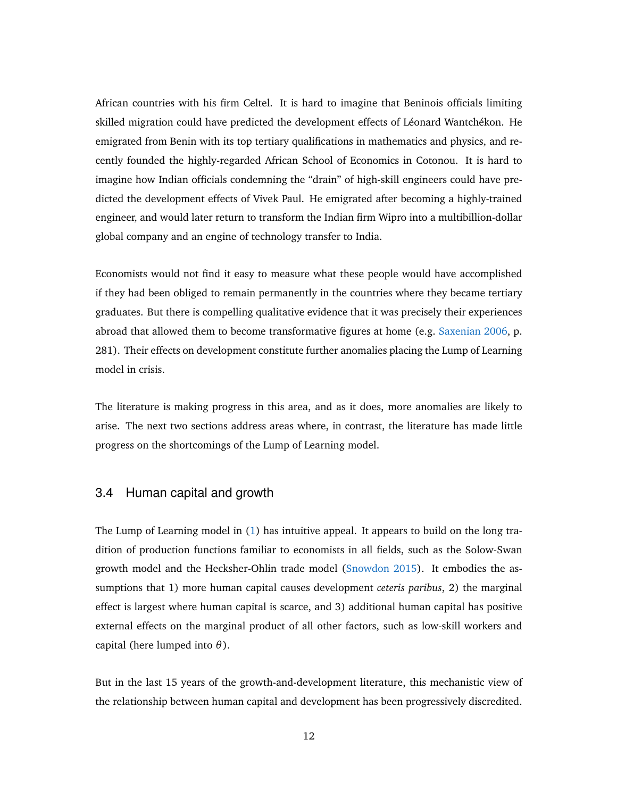African countries with his firm Celtel. It is hard to imagine that Beninois officials limiting skilled migration could have predicted the development effects of Léonard Wantchékon. He emigrated from Benin with its top tertiary qualifications in mathematics and physics, and recently founded the highly-regarded African School of Economics in Cotonou. It is hard to imagine how Indian officials condemning the "drain" of high-skill engineers could have predicted the development effects of Vivek Paul. He emigrated after becoming a highly-trained engineer, and would later return to transform the Indian firm Wipro into a multibillion-dollar global company and an engine of technology transfer to India.

Economists would not find it easy to measure what these people would have accomplished if they had been obliged to remain permanently in the countries where they became tertiary graduates. But there is compelling qualitative evidence that it was precisely their experiences abroad that allowed them to become transformative figures at home (e.g. [Saxenian](#page-29-6) [2006,](#page-29-6) p. 281). Their effects on development constitute further anomalies placing the Lump of Learning model in crisis.

The literature is making progress in this area, and as it does, more anomalies are likely to arise. The next two sections address areas where, in contrast, the literature has made little progress on the shortcomings of the Lump of Learning model.

#### <span id="page-14-0"></span>3.4 Human capital and growth

The Lump of Learning model in [\(1\)](#page-4-0) has intuitive appeal. It appears to build on the long tradition of production functions familiar to economists in all fields, such as the Solow-Swan growth model and the Hecksher-Ohlin trade model [\(Snowdon](#page-29-7) [2015\)](#page-29-7). It embodies the assumptions that 1) more human capital causes development *ceteris paribus*, 2) the marginal effect is largest where human capital is scarce, and 3) additional human capital has positive external effects on the marginal product of all other factors, such as low-skill workers and capital (here lumped into *θ*).

But in the last 15 years of the growth-and-development literature, this mechanistic view of the relationship between human capital and development has been progressively discredited.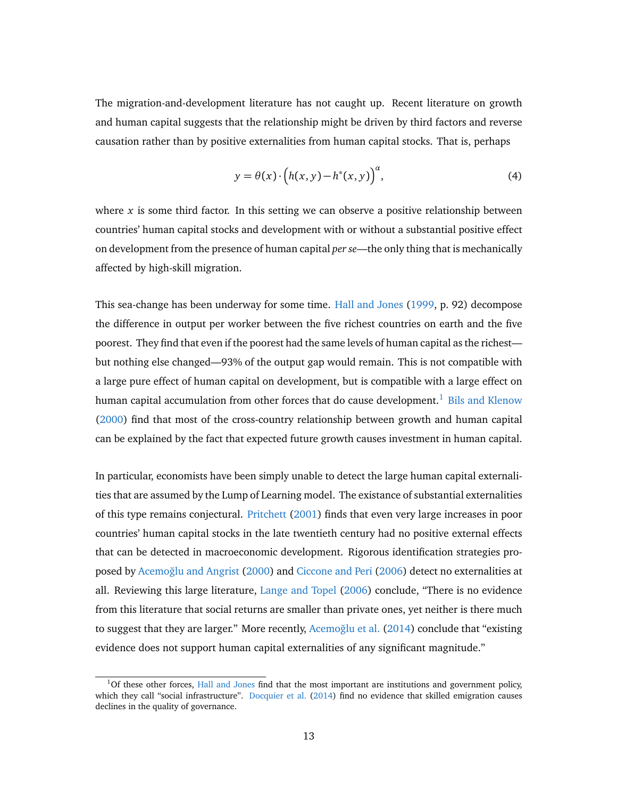The migration-and-development literature has not caught up. Recent literature on growth and human capital suggests that the relationship might be driven by third factors and reverse causation rather than by positive externalities from human capital stocks. That is, perhaps

$$
y = \theta(x) \cdot \left( h(x, y) - h^*(x, y) \right)^{\alpha},\tag{4}
$$

where  $x$  is some third factor. In this setting we can observe a positive relationship between countries' human capital stocks and development with or without a substantial positive effect on development from the presence of human capital *per se*—the only thing that is mechanically affected by high-skill migration.

This sea-change has been underway for some time. [Hall and Jones](#page-28-9) [\(1999,](#page-28-9) p. 92) decompose the difference in output per worker between the five richest countries on earth and the five poorest. They find that even if the poorest had the same levels of human capital as the richest but nothing else changed—93% of the output gap would remain. This is not compatible with a large pure effect of human capital on development, but is compatible with a large effect on human capital accumulation from other forces that do cause development.<sup>[1](#page-15-0)</sup> [Bils and Klenow](#page-26-6) [\(2000\)](#page-26-6) find that most of the cross-country relationship between growth and human capital can be explained by the fact that expected future growth causes investment in human capital.

In particular, economists have been simply unable to detect the large human capital externalities that are assumed by the Lump of Learning model. The existance of substantial externalities of this type remains conjectural. [Pritchett](#page-29-8) [\(2001\)](#page-29-8) finds that even very large increases in poor countries' human capital stocks in the late twentieth century had no positive external effects that can be detected in macroeconomic development. Rigorous identification strategies pro-posed by Acemoğlu and Angrist [\(2000\)](#page-26-12) and [Ciccone and Peri](#page-27-10) [\(2006\)](#page-27-10) detect no externalities at all. Reviewing this large literature, [Lange and Topel](#page-28-10) [\(2006\)](#page-28-10) conclude, "There is no evidence from this literature that social returns are smaller than private ones, yet neither is there much to suggest that they are larger." More recently, [Acemoglu et al.](#page-26-13)  $(2014)$  conclude that "existing" evidence does not support human capital externalities of any significant magnitude."

<span id="page-15-0"></span> $1$ Of these other forces, [Hall and Jones](#page-28-9) find that the most important are institutions and government policy, which they call "social infrastructure". [Docquier et al.](#page-27-11) [\(2014\)](#page-27-11) find no evidence that skilled emigration causes declines in the quality of governance.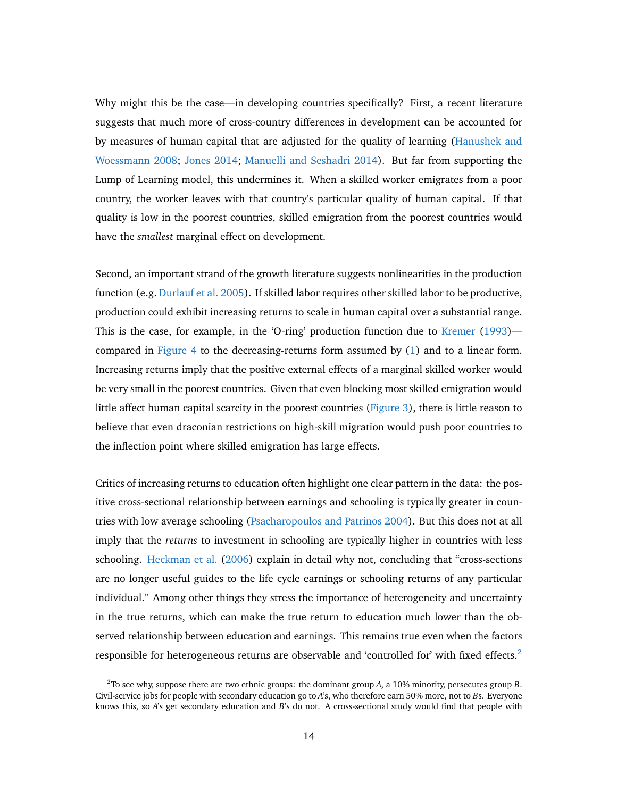Why might this be the case—in developing countries specifically? First, a recent literature suggests that much more of cross-country differences in development can be accounted for by measures of human capital that are adjusted for the quality of learning [\(Hanushek and](#page-28-11) [Woessmann](#page-28-11) [2008;](#page-28-11) [Jones](#page-28-12) [2014;](#page-28-12) [Manuelli and Seshadri](#page-28-13) [2014\)](#page-28-13). But far from supporting the Lump of Learning model, this undermines it. When a skilled worker emigrates from a poor country, the worker leaves with that country's particular quality of human capital. If that quality is low in the poorest countries, skilled emigration from the poorest countries would have the *smallest* marginal effect on development.

Second, an important strand of the growth literature suggests nonlinearities in the production function (e.g. [Durlauf et al.](#page-28-14) [2005\)](#page-28-14). If skilled labor requires other skilled labor to be productive, production could exhibit increasing returns to scale in human capital over a substantial range. This is the case, for example, in the 'O-ring' production function due to [Kremer](#page-28-15) [\(1993\)](#page-28-15) compared in [Figure 4](#page-34-0) to the decreasing-returns form assumed by [\(1\)](#page-4-0) and to a linear form. Increasing returns imply that the positive external effects of a marginal skilled worker would be very small in the poorest countries. Given that even blocking most skilled emigration would little affect human capital scarcity in the poorest countries [\(Figure 3\)](#page-33-0), there is little reason to believe that even draconian restrictions on high-skill migration would push poor countries to the inflection point where skilled emigration has large effects.

Critics of increasing returns to education often highlight one clear pattern in the data: the positive cross-sectional relationship between earnings and schooling is typically greater in countries with low average schooling [\(Psacharopoulos and Patrinos](#page-29-9) [2004\)](#page-29-9). But this does not at all imply that the *returns* to investment in schooling are typically higher in countries with less schooling. [Heckman et al.](#page-28-16) [\(2006\)](#page-28-16) explain in detail why not, concluding that "cross-sections are no longer useful guides to the life cycle earnings or schooling returns of any particular individual." Among other things they stress the importance of heterogeneity and uncertainty in the true returns, which can make the true return to education much lower than the observed relationship between education and earnings. This remains true even when the factors responsible for heterogeneous returns are observable and 'controlled for' with fixed effects.<sup>[2](#page-16-0)</sup>

<span id="page-16-0"></span><sup>2</sup>To see why, suppose there are two ethnic groups: the dominant group *A*, a 10% minority, persecutes group *B*. Civil-service jobs for people with secondary education go to *A*'s, who therefore earn 50% more, not to *B*s. Everyone knows this, so *A*'s get secondary education and *B*'s do not. A cross-sectional study would find that people with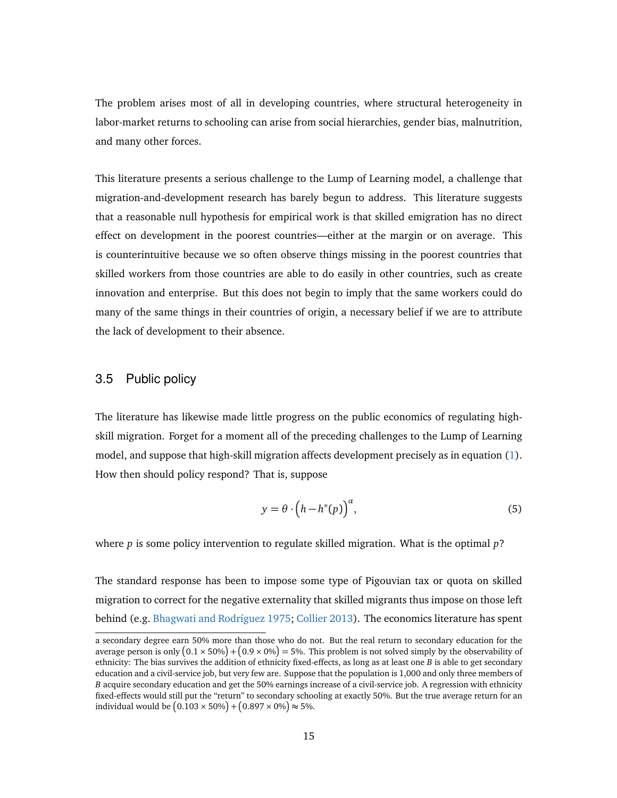The problem arises most of all in developing countries, where structural heterogeneity in labor-market returns to schooling can arise from social hierarchies, gender bias, malnutrition, and many other forces.

This literature presents a serious challenge to the Lump of Learning model, a challenge that migration-and-development research has barely begun to address. This literature suggests that a reasonable null hypothesis for empirical work is that skilled emigration has no direct effect on development in the poorest countries—either at the margin or on average. This is counterintuitive because we so often observe things missing in the poorest countries that skilled workers from those countries are able to do easily in other countries, such as create innovation and enterprise. But this does not begin to imply that the same workers could do many of the same things in their countries of origin, a necessary belief if we are to attribute the lack of development to their absence.

#### <span id="page-17-0"></span>3.5 Public policy

The literature has likewise made little progress on the public economics of regulating highskill migration. Forget for a moment all of the preceding challenges to the Lump of Learning model, and suppose that high-skill migration affects development precisely as in equation [\(1\)](#page-4-0). How then should policy respond? That is, suppose

$$
y = \theta \cdot \left(h - h^*(p)\right)^{\alpha},\tag{5}
$$

where *p* is some policy intervention to regulate skilled migration. What is the optimal *p*?

The standard response has been to impose some type of Pigouvian tax or quota on skilled migration to correct for the negative externality that skilled migrants thus impose on those left behind (e.g. [Bhagwati and Rodríguez](#page-26-0) [1975;](#page-26-0) [Collier](#page-27-1) [2013\)](#page-27-1). The economics literature has spent

a secondary degree earn 50% more than those who do not. But the real return to secondary education for the average person is only  $\big(0.1\times50\%\big)+\big(0.9\times0\%\big)=5\%$ . This problem is not solved simply by the observability of ethnicity: The bias survives the addition of ethnicity fixed-effects, as long as at least one *B* is able to get secondary education and a civil-service job, but very few are. Suppose that the population is 1,000 and only three members of *B* acquire secondary education and get the 50% earnings increase of a civil-service job. A regression with ethnicity fixed-effects would still put the "return" to secondary schooling at exactly 50%. But the true average return for an individual would be  $\big(0.103 \times 50\%\big) + \big(0.897 \times 0\%\big) \approx 5\%.$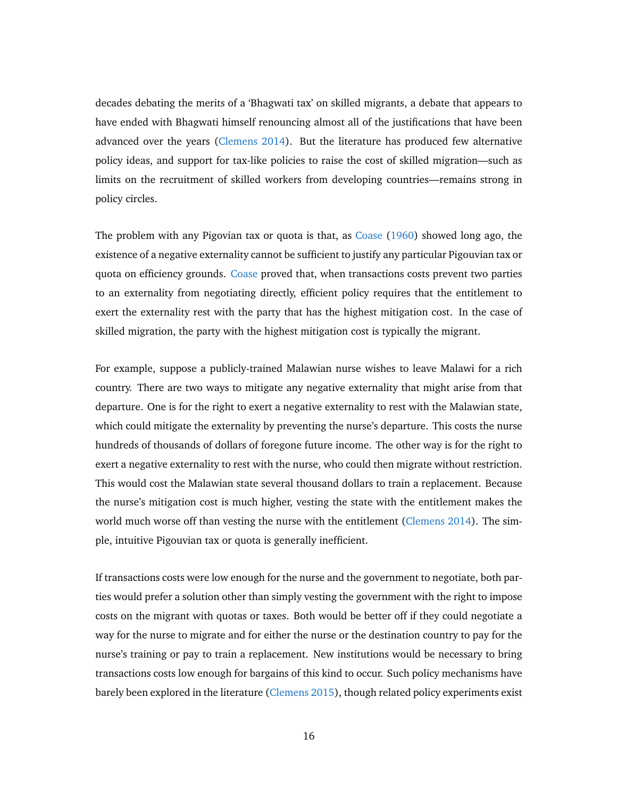decades debating the merits of a 'Bhagwati tax' on skilled migrants, a debate that appears to have ended with Bhagwati himself renouncing almost all of the justifications that have been advanced over the years [\(Clemens](#page-27-5) [2014\)](#page-27-5). But the literature has produced few alternative policy ideas, and support for tax-like policies to raise the cost of skilled migration—such as limits on the recruitment of skilled workers from developing countries—remains strong in policy circles.

The problem with any Pigovian tax or quota is that, as [Coase](#page-27-12) [\(1960\)](#page-27-12) showed long ago, the existence of a negative externality cannot be sufficient to justify any particular Pigouvian tax or quota on efficiency grounds. [Coase](#page-27-12) proved that, when transactions costs prevent two parties to an externality from negotiating directly, efficient policy requires that the entitlement to exert the externality rest with the party that has the highest mitigation cost. In the case of skilled migration, the party with the highest mitigation cost is typically the migrant.

For example, suppose a publicly-trained Malawian nurse wishes to leave Malawi for a rich country. There are two ways to mitigate any negative externality that might arise from that departure. One is for the right to exert a negative externality to rest with the Malawian state, which could mitigate the externality by preventing the nurse's departure. This costs the nurse hundreds of thousands of dollars of foregone future income. The other way is for the right to exert a negative externality to rest with the nurse, who could then migrate without restriction. This would cost the Malawian state several thousand dollars to train a replacement. Because the nurse's mitigation cost is much higher, vesting the state with the entitlement makes the world much worse off than vesting the nurse with the entitlement [\(Clemens](#page-27-5) [2014\)](#page-27-5). The simple, intuitive Pigouvian tax or quota is generally inefficient.

If transactions costs were low enough for the nurse and the government to negotiate, both parties would prefer a solution other than simply vesting the government with the right to impose costs on the migrant with quotas or taxes. Both would be better off if they could negotiate a way for the nurse to migrate and for either the nurse or the destination country to pay for the nurse's training or pay to train a replacement. New institutions would be necessary to bring transactions costs low enough for bargains of this kind to occur. Such policy mechanisms have barely been explored in the literature [\(Clemens](#page-27-13) [2015\)](#page-27-13), though related policy experiments exist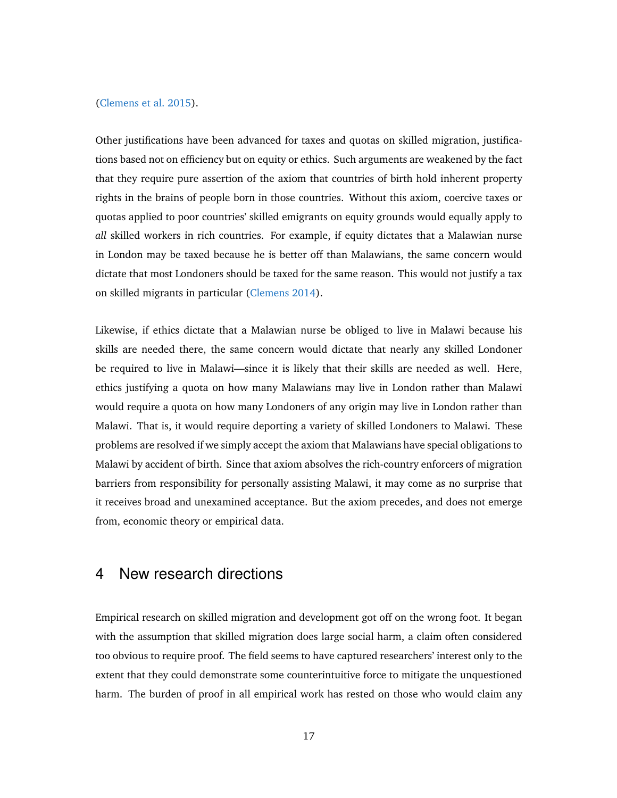#### [\(Clemens et al.](#page-27-14) [2015\)](#page-27-14).

Other justifications have been advanced for taxes and quotas on skilled migration, justifications based not on efficiency but on equity or ethics. Such arguments are weakened by the fact that they require pure assertion of the axiom that countries of birth hold inherent property rights in the brains of people born in those countries. Without this axiom, coercive taxes or quotas applied to poor countries' skilled emigrants on equity grounds would equally apply to *all* skilled workers in rich countries. For example, if equity dictates that a Malawian nurse in London may be taxed because he is better off than Malawians, the same concern would dictate that most Londoners should be taxed for the same reason. This would not justify a tax on skilled migrants in particular [\(Clemens](#page-27-5) [2014\)](#page-27-5).

Likewise, if ethics dictate that a Malawian nurse be obliged to live in Malawi because his skills are needed there, the same concern would dictate that nearly any skilled Londoner be required to live in Malawi—since it is likely that their skills are needed as well. Here, ethics justifying a quota on how many Malawians may live in London rather than Malawi would require a quota on how many Londoners of any origin may live in London rather than Malawi. That is, it would require deporting a variety of skilled Londoners to Malawi. These problems are resolved if we simply accept the axiom that Malawians have special obligations to Malawi by accident of birth. Since that axiom absolves the rich-country enforcers of migration barriers from responsibility for personally assisting Malawi, it may come as no surprise that it receives broad and unexamined acceptance. But the axiom precedes, and does not emerge from, economic theory or empirical data.

### 4 New research directions

Empirical research on skilled migration and development got off on the wrong foot. It began with the assumption that skilled migration does large social harm, a claim often considered too obvious to require proof. The field seems to have captured researchers' interest only to the extent that they could demonstrate some counterintuitive force to mitigate the unquestioned harm. The burden of proof in all empirical work has rested on those who would claim any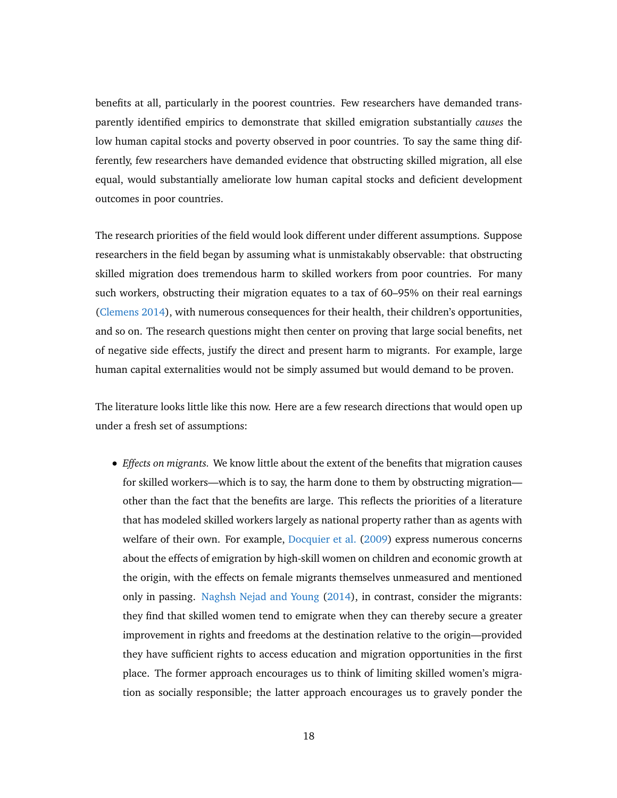benefits at all, particularly in the poorest countries. Few researchers have demanded transparently identified empirics to demonstrate that skilled emigration substantially *causes* the low human capital stocks and poverty observed in poor countries. To say the same thing differently, few researchers have demanded evidence that obstructing skilled migration, all else equal, would substantially ameliorate low human capital stocks and deficient development outcomes in poor countries.

The research priorities of the field would look different under different assumptions. Suppose researchers in the field began by assuming what is unmistakably observable: that obstructing skilled migration does tremendous harm to skilled workers from poor countries. For many such workers, obstructing their migration equates to a tax of 60–95% on their real earnings [\(Clemens](#page-27-5) [2014\)](#page-27-5), with numerous consequences for their health, their children's opportunities, and so on. The research questions might then center on proving that large social benefits, net of negative side effects, justify the direct and present harm to migrants. For example, large human capital externalities would not be simply assumed but would demand to be proven.

The literature looks little like this now. Here are a few research directions that would open up under a fresh set of assumptions:

• *Effects on migrants.* We know little about the extent of the benefits that migration causes for skilled workers—which is to say, the harm done to them by obstructing migration other than the fact that the benefits are large. This reflects the priorities of a literature that has modeled skilled workers largely as national property rather than as agents with welfare of their own. For example, [Docquier et al.](#page-27-15) [\(2009\)](#page-27-15) express numerous concerns about the effects of emigration by high-skill women on children and economic growth at the origin, with the effects on female migrants themselves unmeasured and mentioned only in passing. [Naghsh Nejad and Young](#page-29-10) [\(2014\)](#page-29-10), in contrast, consider the migrants: they find that skilled women tend to emigrate when they can thereby secure a greater improvement in rights and freedoms at the destination relative to the origin—provided they have sufficient rights to access education and migration opportunities in the first place. The former approach encourages us to think of limiting skilled women's migration as socially responsible; the latter approach encourages us to gravely ponder the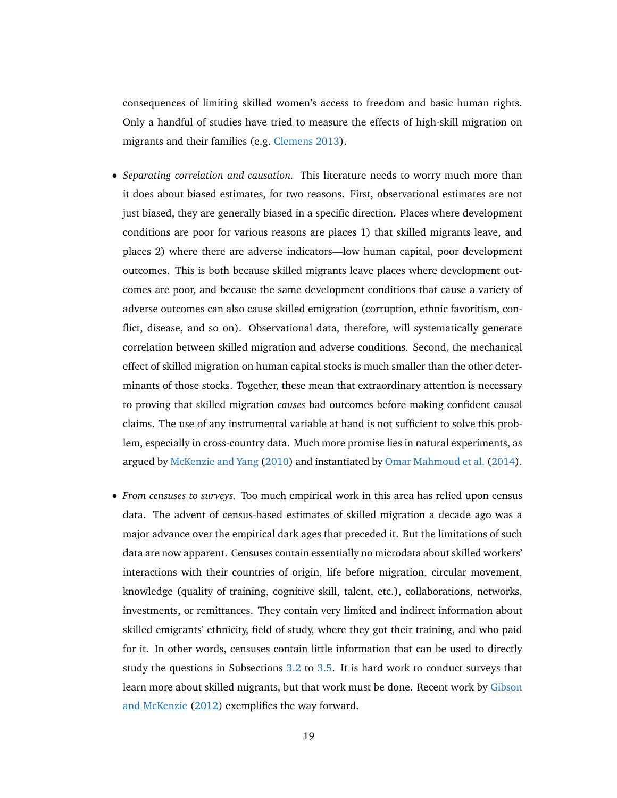consequences of limiting skilled women's access to freedom and basic human rights. Only a handful of studies have tried to measure the effects of high-skill migration on migrants and their families (e.g. [Clemens](#page-27-16) [2013\)](#page-27-16).

- *Separating correlation and causation.* This literature needs to worry much more than it does about biased estimates, for two reasons. First, observational estimates are not just biased, they are generally biased in a specific direction. Places where development conditions are poor for various reasons are places 1) that skilled migrants leave, and places 2) where there are adverse indicators—low human capital, poor development outcomes. This is both because skilled migrants leave places where development outcomes are poor, and because the same development conditions that cause a variety of adverse outcomes can also cause skilled emigration (corruption, ethnic favoritism, conflict, disease, and so on). Observational data, therefore, will systematically generate correlation between skilled migration and adverse conditions. Second, the mechanical effect of skilled migration on human capital stocks is much smaller than the other determinants of those stocks. Together, these mean that extraordinary attention is necessary to proving that skilled migration *causes* bad outcomes before making confident causal claims. The use of any instrumental variable at hand is not sufficient to solve this problem, especially in cross-country data. Much more promise lies in natural experiments, as argued by [McKenzie and Yang](#page-29-11) [\(2010\)](#page-29-11) and instantiated by [Omar Mahmoud et al.](#page-29-12) [\(2014\)](#page-29-12).
- *From censuses to surveys.* Too much empirical work in this area has relied upon census data. The advent of census-based estimates of skilled migration a decade ago was a major advance over the empirical dark ages that preceded it. But the limitations of such data are now apparent. Censuses contain essentially no microdata about skilled workers' interactions with their countries of origin, life before migration, circular movement, knowledge (quality of training, cognitive skill, talent, etc.), collaborations, networks, investments, or remittances. They contain very limited and indirect information about skilled emigrants' ethnicity, field of study, where they got their training, and who paid for it. In other words, censuses contain little information that can be used to directly study the questions in Subsections [3.2](#page-8-0) to [3.5.](#page-17-0) It is hard work to conduct surveys that learn more about skilled migrants, but that work must be done. Recent work by [Gibson](#page-28-17) [and McKenzie](#page-28-17) [\(2012\)](#page-28-17) exemplifies the way forward.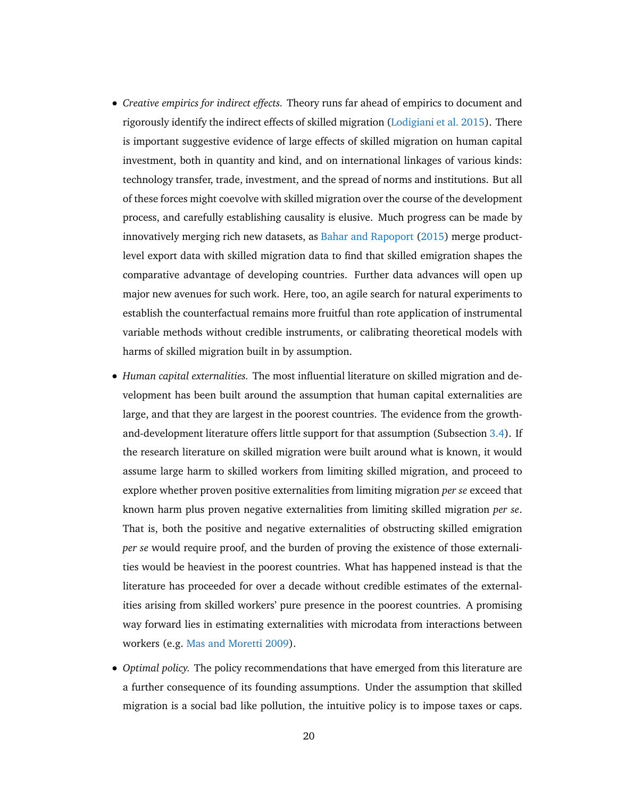- *Creative empirics for indirect effects.* Theory runs far ahead of empirics to document and rigorously identify the indirect effects of skilled migration [\(Lodigiani et al.](#page-28-2) [2015\)](#page-28-2). There is important suggestive evidence of large effects of skilled migration on human capital investment, both in quantity and kind, and on international linkages of various kinds: technology transfer, trade, investment, and the spread of norms and institutions. But all of these forces might coevolve with skilled migration over the course of the development process, and carefully establishing causality is elusive. Much progress can be made by innovatively merging rich new datasets, as [Bahar and Rapoport](#page-26-8) [\(2015\)](#page-26-8) merge productlevel export data with skilled migration data to find that skilled emigration shapes the comparative advantage of developing countries. Further data advances will open up major new avenues for such work. Here, too, an agile search for natural experiments to establish the counterfactual remains more fruitful than rote application of instrumental variable methods without credible instruments, or calibrating theoretical models with harms of skilled migration built in by assumption.
- *Human capital externalities.* The most influential literature on skilled migration and development has been built around the assumption that human capital externalities are large, and that they are largest in the poorest countries. The evidence from the growthand-development literature offers little support for that assumption (Subsection [3.4\)](#page-14-0). If the research literature on skilled migration were built around what is known, it would assume large harm to skilled workers from limiting skilled migration, and proceed to explore whether proven positive externalities from limiting migration *per se* exceed that known harm plus proven negative externalities from limiting skilled migration *per se*. That is, both the positive and negative externalities of obstructing skilled emigration *per se* would require proof, and the burden of proving the existence of those externalities would be heaviest in the poorest countries. What has happened instead is that the literature has proceeded for over a decade without credible estimates of the externalities arising from skilled workers' pure presence in the poorest countries. A promising way forward lies in estimating externalities with microdata from interactions between workers (e.g. [Mas and Moretti](#page-29-13) [2009\)](#page-29-13).
- *Optimal policy.* The policy recommendations that have emerged from this literature are a further consequence of its founding assumptions. Under the assumption that skilled migration is a social bad like pollution, the intuitive policy is to impose taxes or caps.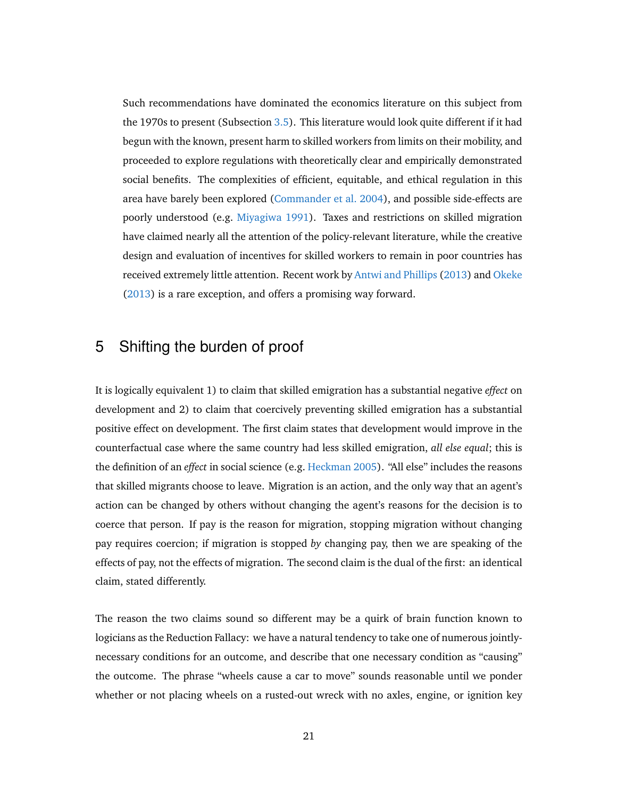Such recommendations have dominated the economics literature on this subject from the 1970s to present (Subsection [3.5\)](#page-17-0). This literature would look quite different if it had begun with the known, present harm to skilled workers from limits on their mobility, and proceeded to explore regulations with theoretically clear and empirically demonstrated social benefits. The complexities of efficient, equitable, and ethical regulation in this area have barely been explored [\(Commander et al.](#page-27-17) [2004\)](#page-27-17), and possible side-effects are poorly understood (e.g. [Miyagiwa](#page-29-14) [1991\)](#page-29-14). Taxes and restrictions on skilled migration have claimed nearly all the attention of the policy-relevant literature, while the creative design and evaluation of incentives for skilled workers to remain in poor countries has received extremely little attention. Recent work by [Antwi and Phillips](#page-26-14) [\(2013\)](#page-26-14) and [Okeke](#page-29-15) [\(2013\)](#page-29-15) is a rare exception, and offers a promising way forward.

# 5 Shifting the burden of proof

It is logically equivalent 1) to claim that skilled emigration has a substantial negative *effect* on development and 2) to claim that coercively preventing skilled emigration has a substantial positive effect on development. The first claim states that development would improve in the counterfactual case where the same country had less skilled emigration, *all else equal*; this is the definition of an *effect* in social science (e.g. [Heckman](#page-28-18) [2005\)](#page-28-18). "All else" includes the reasons that skilled migrants choose to leave. Migration is an action, and the only way that an agent's action can be changed by others without changing the agent's reasons for the decision is to coerce that person. If pay is the reason for migration, stopping migration without changing pay requires coercion; if migration is stopped *by* changing pay, then we are speaking of the effects of pay, not the effects of migration. The second claim is the dual of the first: an identical claim, stated differently.

The reason the two claims sound so different may be a quirk of brain function known to logicians as the Reduction Fallacy: we have a natural tendency to take one of numerous jointlynecessary conditions for an outcome, and describe that one necessary condition as "causing" the outcome. The phrase "wheels cause a car to move" sounds reasonable until we ponder whether or not placing wheels on a rusted-out wreck with no axles, engine, or ignition key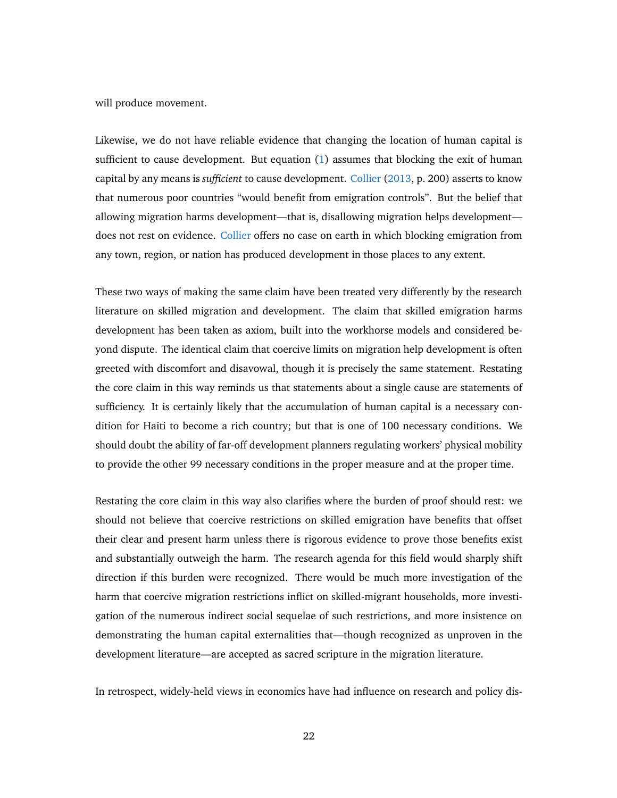#### will produce movement.

Likewise, we do not have reliable evidence that changing the location of human capital is sufficient to cause development. But equation [\(1\)](#page-4-0) assumes that blocking the exit of human capital by any means is *sufficient* to cause development. [Collier](#page-27-1) [\(2013,](#page-27-1) p. 200) asserts to know that numerous poor countries "would benefit from emigration controls". But the belief that allowing migration harms development—that is, disallowing migration helps development does not rest on evidence. [Collier](#page-27-1) offers no case on earth in which blocking emigration from any town, region, or nation has produced development in those places to any extent.

These two ways of making the same claim have been treated very differently by the research literature on skilled migration and development. The claim that skilled emigration harms development has been taken as axiom, built into the workhorse models and considered beyond dispute. The identical claim that coercive limits on migration help development is often greeted with discomfort and disavowal, though it is precisely the same statement. Restating the core claim in this way reminds us that statements about a single cause are statements of sufficiency. It is certainly likely that the accumulation of human capital is a necessary condition for Haiti to become a rich country; but that is one of 100 necessary conditions. We should doubt the ability of far-off development planners regulating workers' physical mobility to provide the other 99 necessary conditions in the proper measure and at the proper time.

Restating the core claim in this way also clarifies where the burden of proof should rest: we should not believe that coercive restrictions on skilled emigration have benefits that offset their clear and present harm unless there is rigorous evidence to prove those benefits exist and substantially outweigh the harm. The research agenda for this field would sharply shift direction if this burden were recognized. There would be much more investigation of the harm that coercive migration restrictions inflict on skilled-migrant households, more investigation of the numerous indirect social sequelae of such restrictions, and more insistence on demonstrating the human capital externalities that—though recognized as unproven in the development literature—are accepted as sacred scripture in the migration literature.

In retrospect, widely-held views in economics have had influence on research and policy dis-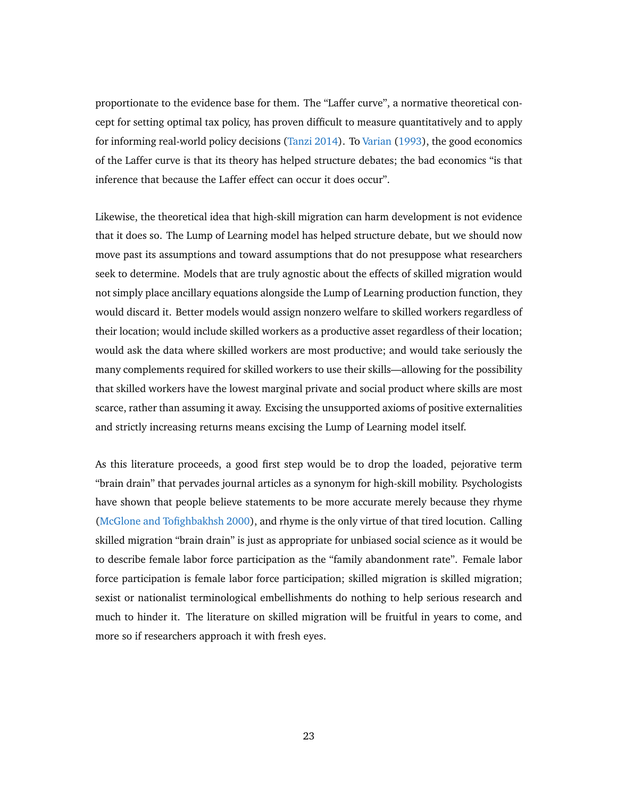proportionate to the evidence base for them. The "Laffer curve", a normative theoretical concept for setting optimal tax policy, has proven difficult to measure quantitatively and to apply for informing real-world policy decisions [\(Tanzi](#page-29-16) [2014\)](#page-29-16). To [Varian](#page-30-2) [\(1993\)](#page-30-2), the good economics of the Laffer curve is that its theory has helped structure debates; the bad economics "is that inference that because the Laffer effect can occur it does occur".

Likewise, the theoretical idea that high-skill migration can harm development is not evidence that it does so. The Lump of Learning model has helped structure debate, but we should now move past its assumptions and toward assumptions that do not presuppose what researchers seek to determine. Models that are truly agnostic about the effects of skilled migration would not simply place ancillary equations alongside the Lump of Learning production function, they would discard it. Better models would assign nonzero welfare to skilled workers regardless of their location; would include skilled workers as a productive asset regardless of their location; would ask the data where skilled workers are most productive; and would take seriously the many complements required for skilled workers to use their skills—allowing for the possibility that skilled workers have the lowest marginal private and social product where skills are most scarce, rather than assuming it away. Excising the unsupported axioms of positive externalities and strictly increasing returns means excising the Lump of Learning model itself.

As this literature proceeds, a good first step would be to drop the loaded, pejorative term "brain drain" that pervades journal articles as a synonym for high-skill mobility. Psychologists have shown that people believe statements to be more accurate merely because they rhyme [\(McGlone and Tofighbakhsh](#page-29-17) [2000\)](#page-29-17), and rhyme is the only virtue of that tired locution. Calling skilled migration "brain drain" is just as appropriate for unbiased social science as it would be to describe female labor force participation as the "family abandonment rate". Female labor force participation is female labor force participation; skilled migration is skilled migration; sexist or nationalist terminological embellishments do nothing to help serious research and much to hinder it. The literature on skilled migration will be fruitful in years to come, and more so if researchers approach it with fresh eyes.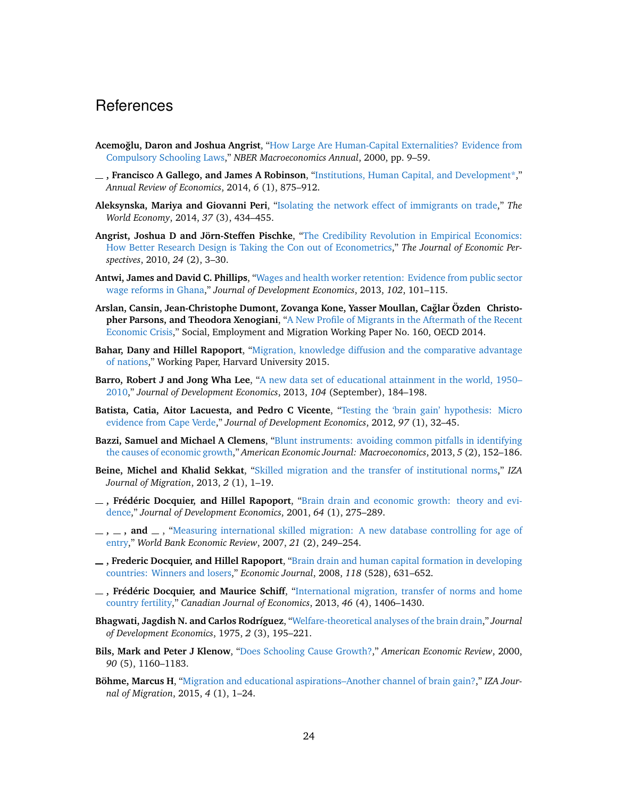#### **References**

- <span id="page-26-12"></span>**Acemoğlu, Daron and Joshua Angrist, ["How Large Are Human-Capital Externalities? Evidence from](http://dx.doi.org/10.2307/3585383)** [Compulsory Schooling Laws,](http://dx.doi.org/10.2307/3585383)" *NBER Macroeconomics Annual*, 2000, pp. 9–59.
- <span id="page-26-13"></span>**, Francisco A Gallego, and James A Robinson**, ["Institutions, Human Capital, and Development\\*,](http://dx.doi.org/10.1146/annurev-economics-080213-041119)" *Annual Review of Economics*, 2014, *6* (1), 875–912.
- <span id="page-26-9"></span>**Aleksynska, Mariya and Giovanni Peri**, ["Isolating the network effect of immigrants on trade,](http://dx.doi.org/10.1111/twec.12079)" *The World Economy*, 2014, *37* (3), 434–455.
- <span id="page-26-7"></span>**Angrist, Joshua D and Jörn-Steffen Pischke**, ["The Credibility Revolution in Empirical Economics:](http://dx.doi.org/10.1257/jep.24.2.3) [How Better Research Design is Taking the Con out of Econometrics,](http://dx.doi.org/10.1257/jep.24.2.3)" *The Journal of Economic Perspectives*, 2010, *24* (2), 3–30.
- <span id="page-26-14"></span>**Antwi, James and David C. Phillips**, ["Wages and health worker retention: Evidence from public sector](http://dx.doi.org/10.1016/j.jdeveco.2012.10.004) [wage reforms in Ghana,](http://dx.doi.org/10.1016/j.jdeveco.2012.10.004)" *Journal of Development Economics*, 2013, *102*, 101–115.
- <span id="page-26-17"></span>**Arslan, Cansin, Jean-Christophe Dumont, Zovanga Kone, Yasser Moullan, Caglar Özden Christo- ˘ pher Parsons, and Theodora Xenogiani**, ["A New Profile of Migrants in the Aftermath of the Recent](http://dx.doi.org/http://dx.doi.org/10.1787/5jxt2t3nnjr5-en) [Economic Crisis,](http://dx.doi.org/http://dx.doi.org/10.1787/5jxt2t3nnjr5-en)" Social, Employment and Migration Working Paper No. 160, OECD 2014.
- <span id="page-26-8"></span>**Bahar, Dany and Hillel Rapoport**, ["Migration, knowledge diffusion and the comparative advantage](http://scholar.harvard.edu/files/dbaharc/files/br_migration.pdf) [of nations,](http://scholar.harvard.edu/files/dbaharc/files/br_migration.pdf)" Working Paper, Harvard University 2015.
- <span id="page-26-15"></span>**Barro, Robert J and Jong Wha Lee**, ["A new data set of educational attainment in the world, 1950–](http://dx.doi.org/10.1016/j.jdeveco.2012.10.001) [2010,](http://dx.doi.org/10.1016/j.jdeveco.2012.10.001)" *Journal of Development Economics*, 2013, *104* (September), 184–198.
- <span id="page-26-4"></span>**Batista, Catia, Aitor Lacuesta, and Pedro C Vicente**, ["Testing the 'brain gain' hypothesis: Micro](http://dx.doi.org/10.1016/j.jdeveco.2011.01.005) [evidence from Cape Verde,](http://dx.doi.org/10.1016/j.jdeveco.2011.01.005)" *Journal of Development Economics*, 2012, *97* (1), 32–45.
- <span id="page-26-5"></span>**Bazzi, Samuel and Michael A Clemens**, ["Blunt instruments: avoiding common pitfalls in identifying](http://dx.doi.org/10.1257/mac.5.2.152) [the causes of economic growth,](http://dx.doi.org/10.1257/mac.5.2.152)" *American Economic Journal: Macroeconomics*, 2013, *5* (2), 152–186.
- <span id="page-26-11"></span>**Beine, Michel and Khalid Sekkat**, ["Skilled migration and the transfer of institutional norms,](http://dx.doi.org/10.1186/2193-9039-2-9)" *IZA Journal of Migration*, 2013, *2* (1), 1–19.
- <span id="page-26-1"></span>**, Frédéric Docquier, and Hillel Rapoport**, ["Brain drain and economic growth: theory and evi](http://dx.doi.org/10.1016/S0304-3878(00)00133-4)[dence,](http://dx.doi.org/10.1016/S0304-3878(00)00133-4)" *Journal of Development Economics*, 2001, *64* (1), 275–289.
- <span id="page-26-16"></span> $\ldots$ , **and**  $\ldots$ , ["Measuring international skilled migration: A new database controlling for age of](http://dx.doi.org/10.1093/wber/lhm007) [entry,](http://dx.doi.org/10.1093/wber/lhm007)" *World Bank Economic Review*, 2007, *21* (2), 249–254.
- <span id="page-26-2"></span>**, Frederic Docquier, and Hillel Rapoport**, ["Brain drain and human capital formation in developing](http://dx.doi.org/10.1111/j.1468-0297.2008.02135.x) [countries: Winners and losers,](http://dx.doi.org/10.1111/j.1468-0297.2008.02135.x)" *Economic Journal*, 2008, *118* (528), 631–652.
- <span id="page-26-10"></span>**, Frédéric Docquier, and Maurice Schiff**, ["International migration, transfer of norms and home](http://dx.doi.org/10.1111/caje.12062) [country fertility,](http://dx.doi.org/10.1111/caje.12062)" *Canadian Journal of Economics*, 2013, *46* (4), 1406–1430.
- <span id="page-26-0"></span>**Bhagwati, Jagdish N. and Carlos Rodríguez**, ["Welfare-theoretical analyses of the brain drain,](http://dx.doi.org/10.1016/0304-3878(75)90002-4)" *Journal of Development Economics*, 1975, *2* (3), 195–221.
- <span id="page-26-6"></span>**Bils, Mark and Peter J Klenow**, ["Does Schooling Cause Growth?,](http://dx.doi.org/10.1257/aer.90.5.1160)" *American Economic Review*, 2000, *90* (5), 1160–1183.
- <span id="page-26-3"></span>**Böhme, Marcus H**, ["Migration and educational aspirations–Another channel of brain gain?,](http://dx.doi.org/10.1186/s40176-015-0036-9)" *IZA Journal of Migration*, 2015, *4* (1), 1–24.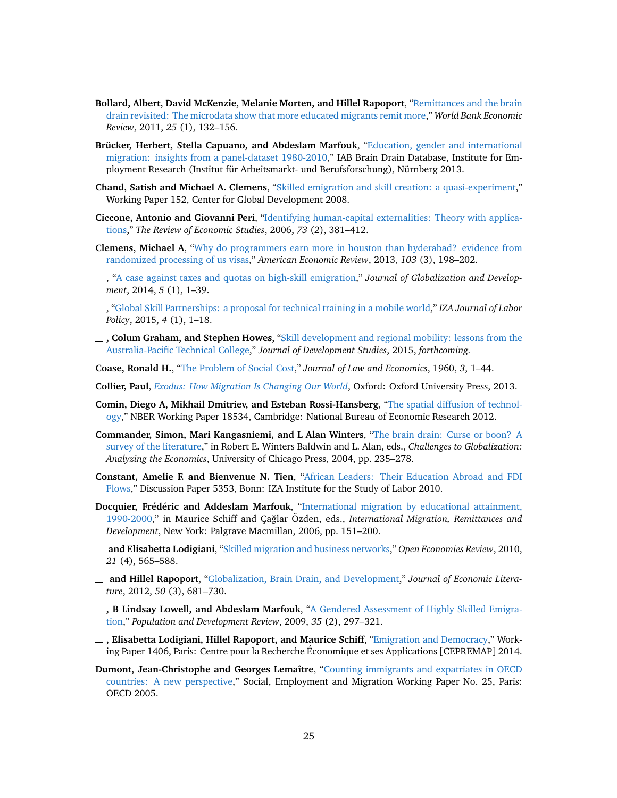- <span id="page-27-9"></span>**Bollard, Albert, David McKenzie, Melanie Morten, and Hillel Rapoport**, ["Remittances and the brain](http://dx.doi.org/10.1093/wber/lhr013) [drain revisited: The microdata show that more educated migrants remit more,](http://dx.doi.org/10.1093/wber/lhr013)" *World Bank Economic Review*, 2011, *25* (1), 132–156.
- <span id="page-27-18"></span>**Brücker, Herbert, Stella Capuano, and Abdeslam Marfouk**, ["Education, gender and international](http://www.iab.de/en/daten/iab-brain-drain-data.aspx) [migration: insights from a panel-dataset 1980-2010,](http://www.iab.de/en/daten/iab-brain-drain-data.aspx)" IAB Brain Drain Database, Institute for Employment Research (Institut für Arbeitsmarkt- und Berufsforschung), Nürnberg 2013.
- <span id="page-27-4"></span>**Chand, Satish and Michael A. Clemens**, ["Skilled emigration and skill creation: a quasi-experiment,](http://dx.doi.org/10.2139/ssrn.1299135)" Working Paper 152, Center for Global Development 2008.
- <span id="page-27-10"></span>**Ciccone, Antonio and Giovanni Peri**, ["Identifying human-capital externalities: Theory with applica](http://dx.doi.org/10.1111/j.1467-937X.2006.00380.x)[tions,](http://dx.doi.org/10.1111/j.1467-937X.2006.00380.x)" *The Review of Economic Studies*, 2006, *73* (2), 381–412.
- <span id="page-27-16"></span>**Clemens, Michael A**, ["Why do programmers earn more in houston than hyderabad? evidence from](http://dx.doi.org/10.1257/aer.103.3.198) [randomized processing of us visas,](http://dx.doi.org/10.1257/aer.103.3.198)" *American Economic Review*, 2013, *103* (3), 198–202.
- <span id="page-27-5"></span>, ["A case against taxes and quotas on high-skill emigration,](http://dx.doi.org/10.1515/jgd-2014-0015)" *Journal of Globalization and Development*, 2014, *5* (1), 1–39.
- <span id="page-27-13"></span>, ["Global Skill Partnerships: a proposal for technical training in a mobile world,](http://dx.doi.org/10.1186/s40173-014-0028-z)" *IZA Journal of Labor Policy*, 2015, *4* (1), 1–18.
- <span id="page-27-14"></span>**, Colum Graham, and Stephen Howes**, ["Skill development and regional mobility: lessons from the](http://dx.doi.org/10.1080/00220388.2015.1028537) [Australia-Pacific Technical College,](http://dx.doi.org/10.1080/00220388.2015.1028537)" *Journal of Development Studies*, 2015, *forthcoming.*
- <span id="page-27-12"></span>**Coase, Ronald H.**, ["The Problem of Social Cost,](http://www.jstor.org/stable/724810)" *Journal of Law and Economics*, 1960, *3*, 1–44.
- <span id="page-27-1"></span>**Collier, Paul**, *[Exodus: How Migration Is Changing Our World](http://www.worldcat.org/oclc/833145538)*, Oxford: Oxford University Press, 2013.
- <span id="page-27-6"></span>**Comin, Diego A, Mikhail Dmitriev, and Esteban Rossi-Hansberg**, ["The spatial diffusion of technol](http://dx.doi.org/10.3386/w18534)[ogy,](http://dx.doi.org/10.3386/w18534)" NBER Working Paper 18534, Cambridge: National Bureau of Economic Research 2012.
- <span id="page-27-17"></span>**Commander, Simon, Mari Kangasniemi, and L Alan Winters**, ["The brain drain: Curse or boon? A](http://www.nber.org/chapters/c9540) [survey of the literature,](http://www.nber.org/chapters/c9540)" in Robert E. Winters Baldwin and L. Alan, eds., *Challenges to Globalization: Analyzing the Economics*, University of Chicago Press, 2004, pp. 235–278.
- <span id="page-27-8"></span>**Constant, Amelie F. and Bienvenue N. Tien**, ["African Leaders: Their Education Abroad and FDI](http://www.iza.org/en/webcontent/publications/papers/viewAbstract?dp_id=5353) [Flows,](http://www.iza.org/en/webcontent/publications/papers/viewAbstract?dp_id=5353)" Discussion Paper 5353, Bonn: IZA Institute for the Study of Labor 2010.
- <span id="page-27-3"></span>**Docquier, Frédéric and Addeslam Marfouk**, ["International migration by educational attainment,](https://openknowledge.worldbank.org/bitstream/handle/10986/6929/339880rev.pdf) [1990-2000,](https://openknowledge.worldbank.org/bitstream/handle/10986/6929/339880rev.pdf)" in Maurice Schiff and Çağlar Özden, eds., *International Migration*, Remittances and *Development*, New York: Palgrave Macmillan, 2006, pp. 151–200.
- <span id="page-27-7"></span>**and Elisabetta Lodigiani**, ["Skilled migration and business networks,](http://dx.doi.org/10.1007/s11079-008-9102-8)" *Open Economies Review*, 2010, *21* (4), 565–588.
- <span id="page-27-0"></span>**and Hillel Rapoport**, ["Globalization, Brain Drain, and Development,](http://dx.doi.org/10.1257/jel.50.3.681)" *Journal of Economic Literature*, 2012, *50* (3), 681–730.
- <span id="page-27-15"></span>**, B Lindsay Lowell, and Abdeslam Marfouk**, ["A Gendered Assessment of Highly Skilled Emigra](http://dx.doi.org/10.1111/j.1728-4457.2009.00277.x)[tion,](http://dx.doi.org/10.1111/j.1728-4457.2009.00277.x)" *Population and Development Review*, 2009, *35* (2), 297–321.
- <span id="page-27-11"></span>**, Elisabetta Lodigiani, Hillel Rapoport, and Maurice Schiff**, ["Emigration and Democracy,](http://hdl.handle.net/10278/44346)" Working Paper 1406, Paris: Centre pour la Recherche Économique et ses Applications [CEPREMAP] 2014.
- <span id="page-27-2"></span>**Dumont, Jean-Christophe and Georges Lemaître**, ["Counting immigrants and expatriates in OECD](http://dx.doi.org/10.1787/521408252125) [countries: A new perspective,](http://dx.doi.org/10.1787/521408252125)" Social, Employment and Migration Working Paper No. 25, Paris: OECD 2005.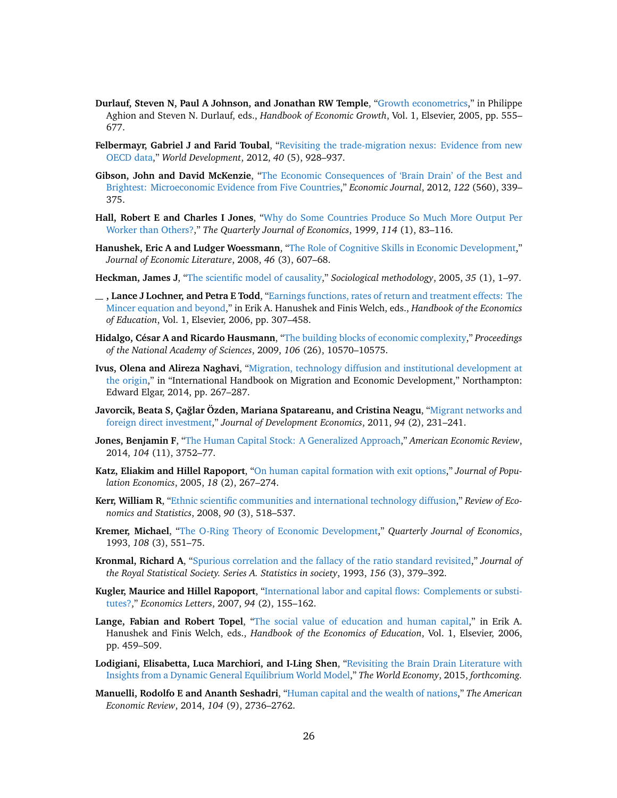- <span id="page-28-14"></span>**Durlauf, Steven N, Paul A Johnson, and Jonathan RW Temple**, ["Growth econometrics,](http://dx.doi.org/10.1016/S1574-0684(05)01008-7)" in Philippe Aghion and Steven N. Durlauf, eds., *Handbook of Economic Growth*, Vol. 1, Elsevier, 2005, pp. 555– 677.
- <span id="page-28-7"></span>**Felbermayr, Gabriel J and Farid Toubal**, ["Revisiting the trade-migration nexus: Evidence from new](http://dx.doi.org/10.1016/j.worlddev.2011.11.016) [OECD data,](http://dx.doi.org/10.1016/j.worlddev.2011.11.016)" *World Development*, 2012, *40* (5), 928–937.
- <span id="page-28-17"></span>**Gibson, John and David McKenzie**, ["The Economic Consequences of 'Brain Drain' of the Best and](http://dx.doi.org/10.1111/j.1468-0297.2012.02498.x) [Brightest: Microeconomic Evidence from Five Countries,](http://dx.doi.org/10.1111/j.1468-0297.2012.02498.x)" *Economic Journal*, 2012, *122* (560), 339– 375.
- <span id="page-28-9"></span>**Hall, Robert E and Charles I Jones**, ["Why do Some Countries Produce So Much More Output Per](http://dx.doi.org/10.1162/003355399555954) [Worker than Others?,](http://dx.doi.org/10.1162/003355399555954)" *The Quarterly Journal of Economics*, 1999, *114* (1), 83–116.
- <span id="page-28-11"></span>**Hanushek, Eric A and Ludger Woessmann**, ["The Role of Cognitive Skills in Economic Development,](http://dx.doi.org/10.1257/jel.46.3.607)" *Journal of Economic Literature*, 2008, *46* (3), 607–68.
- <span id="page-28-18"></span>**Heckman, James J**, ["The scientific model of causality,](http://dx.doi.org/10.1111/j.0081-1750.2006.00164.x)" *Sociological methodology*, 2005, *35* (1), 1–97.
- <span id="page-28-16"></span>**, Lance J Lochner, and Petra E Todd**, ["Earnings functions, rates of return and treatment effects: The](http://dx.doi.org/10.1016/S1574-0692(06)01007-5) [Mincer equation and beyond,](http://dx.doi.org/10.1016/S1574-0692(06)01007-5)" in Erik A. Hanushek and Finis Welch, eds., *Handbook of the Economics of Education*, Vol. 1, Elsevier, 2006, pp. 307–458.
- <span id="page-28-4"></span>**Hidalgo, César A and Ricardo Hausmann**, ["The building blocks of economic complexity,](http://dx.doi.org/10.1073/pnas.0900943106)" *Proceedings of the National Academy of Sciences*, 2009, *106* (26), 10570–10575.
- <span id="page-28-8"></span>**Ivus, Olena and Alireza Naghavi**, ["Migration, technology diffusion and institutional development at](http://dx.doi.org/10.4337/9781782548072.00014) [the origin,](http://dx.doi.org/10.4337/9781782548072.00014)" in "International Handbook on Migration and Economic Development," Northampton: Edward Elgar, 2014, pp. 267–287.
- <span id="page-28-6"></span>Javorcik, Beata S, Çağlar Özden, Mariana Spatareanu, and Cristina Neagu, ["Migrant networks and](http://dx.doi.org/10.1016/j.jdeveco.2010.01.012) [foreign direct investment,](http://dx.doi.org/10.1016/j.jdeveco.2010.01.012)" *Journal of Development Economics*, 2011, *94* (2), 231–241.
- <span id="page-28-12"></span>**Jones, Benjamin F**, ["The Human Capital Stock: A Generalized Approach,](http://dx.doi.org/10.1257/aer.104.11.3752)" *American Economic Review*, 2014, *104* (11), 3752–77.
- <span id="page-28-0"></span>**Katz, Eliakim and Hillel Rapoport**, ["On human capital formation with exit options,](http://dx.doi.org/10.1007/s00148-004-0214-1)" *Journal of Population Economics*, 2005, *18* (2), 267–274.
- <span id="page-28-3"></span>**Kerr, William R**, ["Ethnic scientific communities and international technology diffusion,](http://dx.doi.org/10.1162/rest.90.3.518)" *Review of Economics and Statistics*, 2008, *90* (3), 518–537.
- <span id="page-28-15"></span>**Kremer, Michael**, ["The O-Ring Theory of Economic Development,](http://dx.doi.org/10.2307/2118400)" *Quarterly Journal of Economics*, 1993, *108* (3), 551–75.
- <span id="page-28-1"></span>**Kronmal, Richard A**, ["Spurious correlation and the fallacy of the ratio standard revisited,](http://dx.doi.org/10.2307/2983064)" *Journal of the Royal Statistical Society. Series A. Statistics in society*, 1993, *156* (3), 379–392.
- <span id="page-28-5"></span>**Kugler, Maurice and Hillel Rapoport**, ["International labor and capital flows: Complements or substi](http://dx.doi.org/10.1016/j.econlet.2006.06.023)[tutes?,](http://dx.doi.org/10.1016/j.econlet.2006.06.023)" *Economics Letters*, 2007, *94* (2), 155–162.
- <span id="page-28-10"></span>**Lange, Fabian and Robert Topel**, ["The social value of education and human capital,](http://dx.doi.org/10.1016/S1574-0692(06)01008-7)" in Erik A. Hanushek and Finis Welch, eds., *Handbook of the Economics of Education*, Vol. 1, Elsevier, 2006, pp. 459–509.
- <span id="page-28-2"></span>**Lodigiani, Elisabetta, Luca Marchiori, and I-Ling Shen**, ["Revisiting the Brain Drain Literature with](http://dx.doi.org/10.1111/twec.12269) [Insights from a Dynamic General Equilibrium World Model,](http://dx.doi.org/10.1111/twec.12269)" *The World Economy*, 2015, *forthcoming.*
- <span id="page-28-13"></span>**Manuelli, Rodolfo E and Ananth Seshadri**, ["Human capital and the wealth of nations,](http://dx.doi.org/10.1257/aer.104.9.2736)" *The American Economic Review*, 2014, *104* (9), 2736–2762.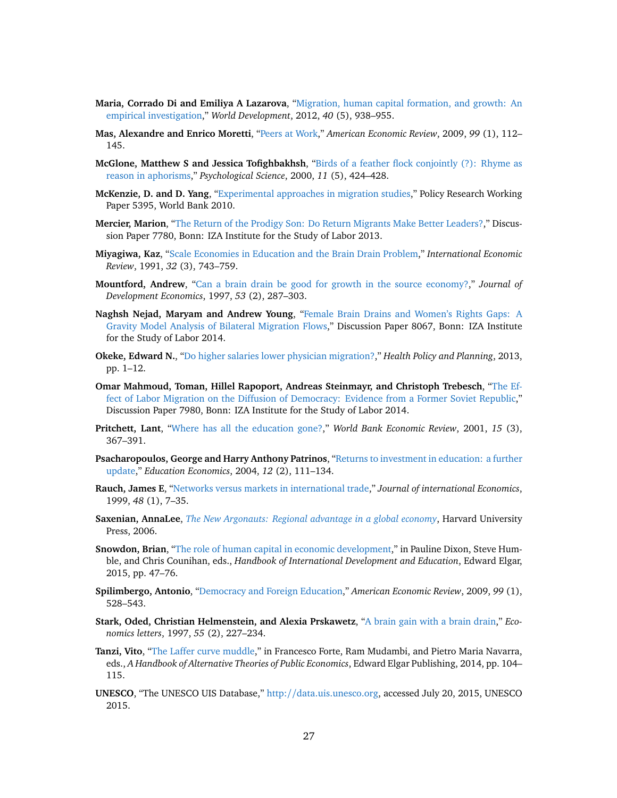- <span id="page-29-2"></span>**Maria, Corrado Di and Emiliya A Lazarova**, ["Migration, human capital formation, and growth: An](http://dx.doi.org/10.1016/j.worlddev.2011.11.011) [empirical investigation,](http://dx.doi.org/10.1016/j.worlddev.2011.11.011)" *World Development*, 2012, *40* (5), 938–955.
- <span id="page-29-13"></span>**Mas, Alexandre and Enrico Moretti**, ["Peers at Work,](http://dx.doi.org/10.1257/aer.99.1.112)" *American Economic Review*, 2009, *99* (1), 112– 145.
- <span id="page-29-17"></span>**McGlone, Matthew S and Jessica Tofighbakhsh**, ["Birds of a feather flock conjointly \(?\): Rhyme as](http://dx.doi.org/10.1111/1467-9280.00282) [reason in aphorisms,](http://dx.doi.org/10.1111/1467-9280.00282)" *Psychological Science*, 2000, *11* (5), 424–428.
- <span id="page-29-11"></span>**McKenzie, D. and D. Yang**, ["Experimental approaches in migration studies,](http://go.worldbank.org/U5II1KKTK0)" Policy Research Working Paper 5395, World Bank 2010.
- <span id="page-29-5"></span>**Mercier, Marion**, ["The Return of the Prodigy Son: Do Return Migrants Make Better Leaders?,](http://www.iza.org/en/webcontent/publications/papers/viewAbstract?dp_id=7780)" Discussion Paper 7780, Bonn: IZA Institute for the Study of Labor 2013.
- <span id="page-29-14"></span>**Miyagiwa, Kaz**, ["Scale Economies in Education and the Brain Drain Problem,](http://dx.doi.org/10.2307/2527117)" *International Economic Review*, 1991, *32* (3), 743–759.
- <span id="page-29-0"></span>**Mountford, Andrew**, ["Can a brain drain be good for growth in the source economy?,](http://dx.doi.org/10.1016/S0304-3878(97)00021-7)" *Journal of Development Economics*, 1997, *53* (2), 287–303.
- <span id="page-29-10"></span>**Naghsh Nejad, Maryam and Andrew Young**, ["Female Brain Drains and Women's Rights Gaps: A](http://www.iza.org/en/webcontent/publications/papers/viewAbstract?dp_id=8067) [Gravity Model Analysis of Bilateral Migration Flows,](http://www.iza.org/en/webcontent/publications/papers/viewAbstract?dp_id=8067)" Discussion Paper 8067, Bonn: IZA Institute for the Study of Labor 2014.
- <span id="page-29-15"></span>**Okeke, Edward N.**, ["Do higher salaries lower physician migration?,](http://dx.doi.org/10.1093/heapol/czt046)" *Health Policy and Planning*, 2013, pp. 1–12.
- <span id="page-29-12"></span>**Omar Mahmoud, Toman, Hillel Rapoport, Andreas Steinmayr, and Christoph Trebesch**, ["The Ef](http://www.iza.org/en/webcontent/publications/papers/viewAbstract?dp_id=7980)[fect of Labor Migration on the Diffusion of Democracy: Evidence from a Former Soviet Republic,](http://www.iza.org/en/webcontent/publications/papers/viewAbstract?dp_id=7980)" Discussion Paper 7980, Bonn: IZA Institute for the Study of Labor 2014.
- <span id="page-29-8"></span>**Pritchett, Lant**, ["Where has all the education gone?,](http://dx.doi.org/10.1093/wber/15.3.367)" *World Bank Economic Review*, 2001, *15* (3), 367–391.
- <span id="page-29-9"></span>**Psacharopoulos, George and Harry Anthony Patrinos**, ["Returns to investment in education: a further](http://dx.doi.org/10.1080/0964529042000239140) [update,](http://dx.doi.org/10.1080/0964529042000239140)" *Education Economics*, 2004, *12* (2), 111–134.
- <span id="page-29-3"></span>**Rauch, James E**, ["Networks versus markets in international trade,](http://dx.doi.org/10.1016/S0022-1996(98)00009-9)" *Journal of international Economics*, 1999, *48* (1), 7–35.
- <span id="page-29-6"></span>**Saxenian, AnnaLee**, *[The New Argonauts: Regional advantage in a global economy](http://www.worldcat.org/oclc/62282322)*, Harvard University Press, 2006.
- <span id="page-29-7"></span>**Snowdon, Brian**, ["The role of human capital in economic development,](http://dx.doi.org/10.4337/9781783473540.00011)" in Pauline Dixon, Steve Humble, and Chris Counihan, eds., *Handbook of International Development and Education*, Edward Elgar, 2015, pp. 47–76.
- <span id="page-29-4"></span>**Spilimbergo, Antonio**, ["Democracy and Foreign Education,](http://dx.doi.org/10.1257/aer.99.1.528)" *American Economic Review*, 2009, *99* (1), 528–543.
- <span id="page-29-1"></span>**Stark, Oded, Christian Helmenstein, and Alexia Prskawetz**, ["A brain gain with a brain drain,](http://dx.doi.org/10.1016/S0165-1765(97)00085-2)" *Economics letters*, 1997, *55* (2), 227–234.
- <span id="page-29-16"></span>**Tanzi, Vito**, ["The Laffer curve muddle,](http://dx.doi.org/10.4337/9781781004715.00010)" in Francesco Forte, Ram Mudambi, and Pietro Maria Navarra, eds., *A Handbook of Alternative Theories of Public Economics*, Edward Elgar Publishing, 2014, pp. 104– 115.
- <span id="page-29-18"></span>**UNESCO**, "The UNESCO UIS Database," http://[data.uis.unesco.org,](http://data.uis.unesco.org) accessed July 20, 2015, UNESCO 2015.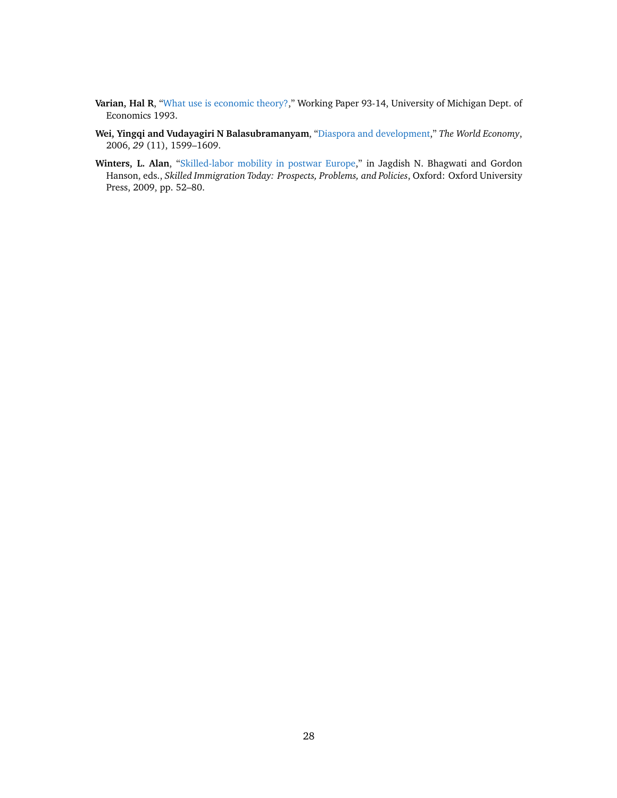- <span id="page-30-2"></span>**Varian, Hal R**, ["What use is economic theory?,](http://hdl.handle.net/2027.42/101038)" Working Paper 93-14, University of Michigan Dept. of Economics 1993.
- <span id="page-30-1"></span>**Wei, Yingqi and Vudayagiri N Balasubramanyam**, ["Diaspora and development,](http://dx.doi.org/10.1111/j.1467-9701.2006.00856.x)" *The World Economy*, 2006, *29* (11), 1599–1609.
- <span id="page-30-0"></span>**Winters, L. Alan**, ["Skilled-labor mobility in postwar Europe,](http://www.worldcat.org/oclc/234073815)" in Jagdish N. Bhagwati and Gordon Hanson, eds., *Skilled Immigration Today: Prospects, Problems, and Policies*, Oxford: Oxford University Press, 2009, pp. 52–80.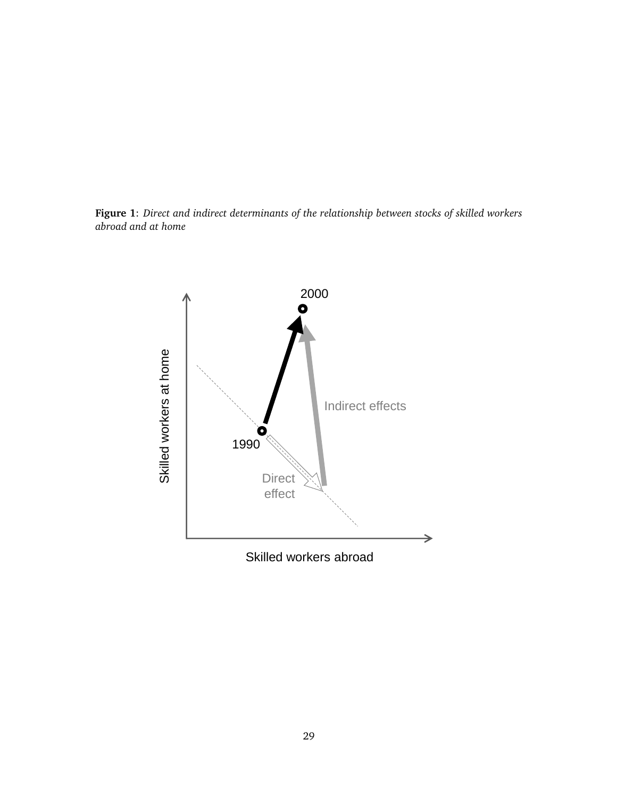<span id="page-31-0"></span>**Figure 1**: *Direct and indirect determinants of the relationship between stocks of skilled workers abroad and at home*



Skilled workers abroad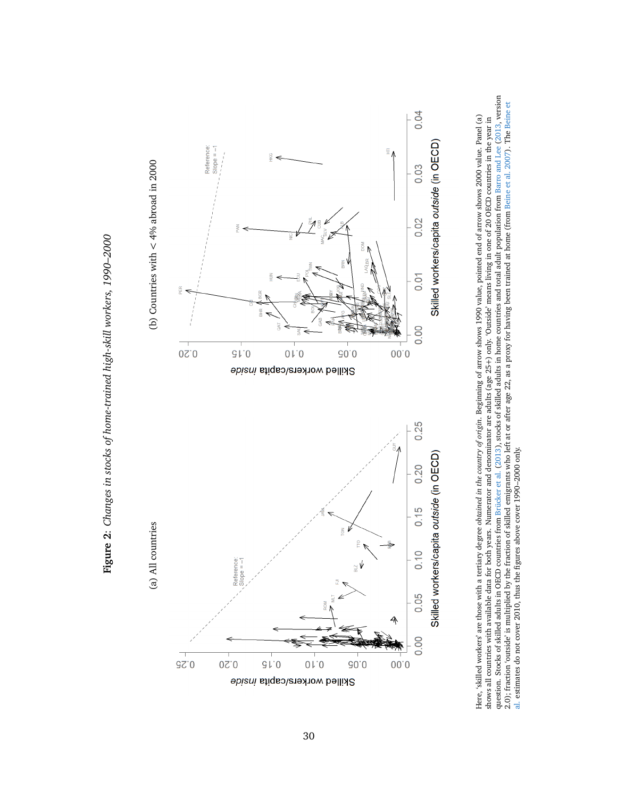<span id="page-32-0"></span>



2.0); fraction 'outside' is multiplied by the fraction of skilled emigrants who left at or after age 22, as a proxy for having been trained at home (from [Beine](#page-26-16) et al. [2007\)](#page-26-16). The Beine et al. 2007). The Beine et al. 2007).

[al.](#page-26-16) estimates do not cover 2010, thus the figures above cover 1990–2000 only.

al. estimates do not cover 2010, thus the figures above cover 1990-2000 only.

Figure 2: Changes in stocks of home-trained high-skill workers, 1990-2000 **Figure 2**: *Changes in stocks of home-trained high-skill workers, 1990–2000*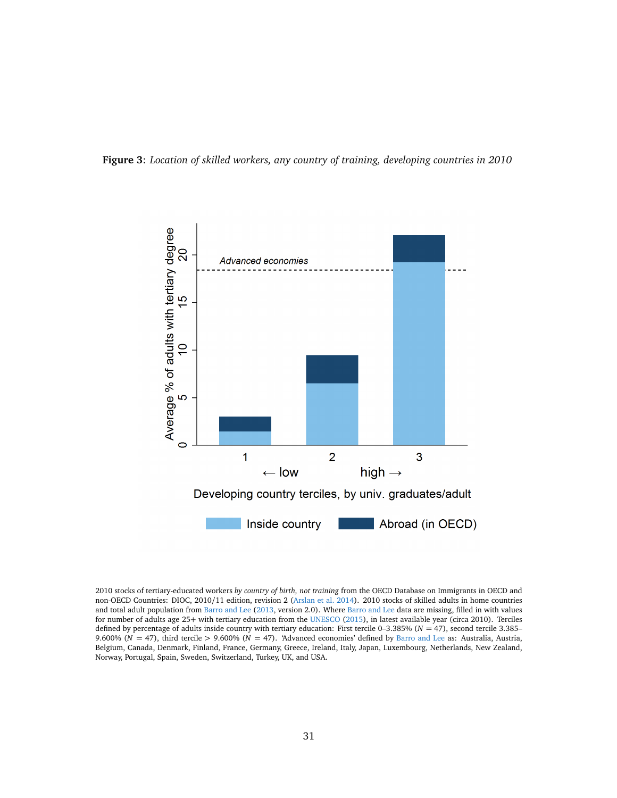<span id="page-33-0"></span>**Figure 3**: *Location of skilled workers, any country of training, developing countries in 2010*



2010 stocks of tertiary-educated workers *by country of birth, not training* from the OECD Database on Immigrants in OECD and non-OECD Countries: DIOC, 2010/11 edition, revision 2 [\(Arslan et al.](#page-26-17) [2014\)](#page-26-17). 2010 stocks of skilled adults in home countries and total adult population from [Barro and Lee](#page-26-15) [\(2013,](#page-26-15) version 2.0). Where [Barro and Lee](#page-26-15) data are missing, filled in with values for number of adults age 25+ with tertiary education from the [UNESCO](#page-29-18) [\(2015\)](#page-29-18), in latest available year (circa 2010). Terciles defined by percentage of adults inside country with tertiary education: First tercile 0–3.385% (*N* = 47), second tercile 3.385– 9.600% (*N* = 47), third tercile *>* 9.600% (*N* = 47). 'Advanced economies' defined by [Barro and Lee](#page-26-15) as: Australia, Austria, Belgium, Canada, Denmark, Finland, France, Germany, Greece, Ireland, Italy, Japan, Luxembourg, Netherlands, New Zealand, Norway, Portugal, Spain, Sweden, Switzerland, Turkey, UK, and USA.